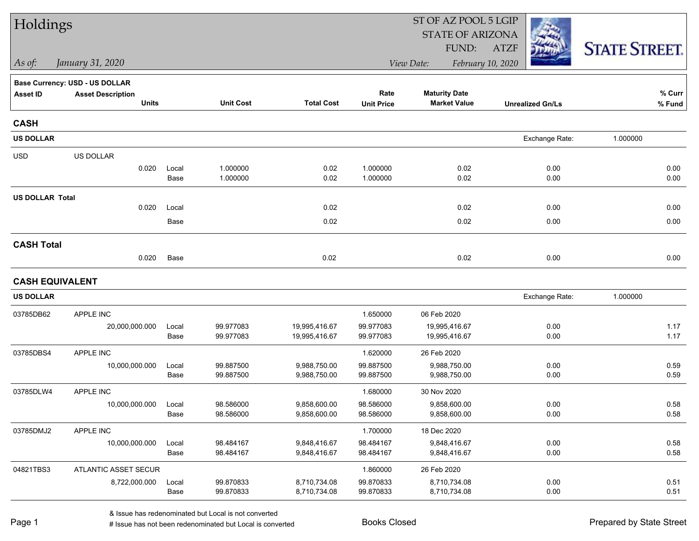| Holdings               |                                          |               |                        |                              | ST OF AZ POOL 5 LGIP      |                                             |                         |                      |  |  |
|------------------------|------------------------------------------|---------------|------------------------|------------------------------|---------------------------|---------------------------------------------|-------------------------|----------------------|--|--|
|                        |                                          |               |                        |                              |                           | <b>STATE OF ARIZONA</b>                     |                         |                      |  |  |
|                        |                                          |               |                        |                              |                           | FUND:                                       | <b>ATZF</b>             | <b>STATE STREET.</b> |  |  |
| As of:                 | January 31, 2020                         |               |                        |                              |                           | View Date:                                  | February 10, 2020       |                      |  |  |
|                        | Base Currency: USD - US DOLLAR           |               |                        |                              |                           |                                             |                         |                      |  |  |
| <b>Asset ID</b>        | <b>Asset Description</b><br><b>Units</b> |               | <b>Unit Cost</b>       | <b>Total Cost</b>            | Rate<br><b>Unit Price</b> | <b>Maturity Date</b><br><b>Market Value</b> | <b>Unrealized Gn/Ls</b> | % Curr<br>% Fund     |  |  |
| <b>CASH</b>            |                                          |               |                        |                              |                           |                                             |                         |                      |  |  |
| <b>US DOLLAR</b>       |                                          |               |                        |                              |                           |                                             | Exchange Rate:          | 1.000000             |  |  |
| <b>USD</b>             | US DOLLAR                                |               |                        |                              |                           |                                             |                         |                      |  |  |
|                        | 0.020                                    | Local<br>Base | 1.000000<br>1.000000   | 0.02<br>0.02                 | 1.000000<br>1.000000      | 0.02<br>0.02                                | 0.00<br>0.00            | 0.00<br>0.00         |  |  |
| <b>US DOLLAR Total</b> |                                          |               |                        |                              |                           |                                             |                         |                      |  |  |
|                        | 0.020                                    | Local         |                        | 0.02                         |                           | 0.02                                        | 0.00                    | 0.00                 |  |  |
|                        |                                          | Base          |                        | 0.02                         |                           | 0.02                                        | 0.00                    | 0.00                 |  |  |
| <b>CASH Total</b>      |                                          |               |                        |                              |                           |                                             |                         |                      |  |  |
|                        | 0.020                                    | Base          |                        | 0.02                         |                           | 0.02                                        | 0.00                    | 0.00                 |  |  |
| <b>CASH EQUIVALENT</b> |                                          |               |                        |                              |                           |                                             |                         |                      |  |  |
| <b>US DOLLAR</b>       |                                          |               |                        |                              |                           |                                             | Exchange Rate:          | 1.000000             |  |  |
| 03785DB62              | APPLE INC                                |               |                        |                              | 1.650000                  | 06 Feb 2020                                 |                         |                      |  |  |
|                        | 20,000,000.000                           | Local         | 99.977083              | 19,995,416.67                | 99.977083                 | 19,995,416.67                               | 0.00                    | 1.17                 |  |  |
|                        |                                          | Base          | 99.977083              | 19,995,416.67                | 99.977083                 | 19,995,416.67                               | 0.00                    | 1.17                 |  |  |
| 03785DBS4              | APPLE INC                                |               |                        |                              | 1.620000                  | 26 Feb 2020                                 |                         |                      |  |  |
|                        | 10,000,000.000                           | Local<br>Base | 99.887500<br>99.887500 | 9,988,750.00<br>9,988,750.00 | 99.887500<br>99.887500    | 9,988,750.00<br>9,988,750.00                | 0.00<br>0.00            | 0.59<br>0.59         |  |  |
| 03785DLW4              | APPLE INC                                |               |                        |                              | 1.680000                  | 30 Nov 2020                                 |                         |                      |  |  |
|                        | 10,000,000.000                           | Local         | 98.586000              | 9,858,600.00                 | 98.586000                 | 9,858,600.00                                | 0.00                    | 0.58                 |  |  |
|                        |                                          | Base          | 98.586000              | 9,858,600.00                 | 98.586000                 | 9,858,600.00                                | 0.00                    | 0.58                 |  |  |
| 03785DMJ2              | APPLE INC                                |               |                        |                              | 1.700000                  | 18 Dec 2020                                 |                         |                      |  |  |
|                        | 10,000,000.000                           | Local         | 98.484167              | 9,848,416.67                 | 98.484167                 | 9,848,416.67                                | 0.00                    | 0.58                 |  |  |
|                        |                                          | Base          | 98.484167              | 9,848,416.67                 | 98.484167                 | 9,848,416.67                                | 0.00                    | 0.58                 |  |  |
| 04821TBS3              | ATLANTIC ASSET SECUR                     |               |                        |                              | 1.860000                  | 26 Feb 2020                                 |                         |                      |  |  |
|                        | 8,722,000.000                            | Local         | 99.870833              | 8,710,734.08                 | 99.870833                 | 8,710,734.08                                | 0.00                    | 0.51                 |  |  |
|                        |                                          | Base          | 99.870833              | 8,710,734.08                 | 99.870833                 | 8,710,734.08                                | 0.00                    | 0.51                 |  |  |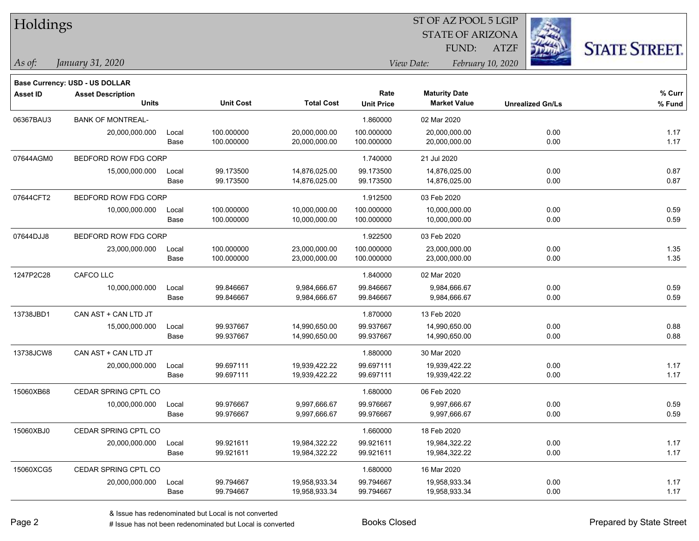| Holdings        |                                          |       |                  |                   |                           | ST OF AZ POOL 5 LGIP                        |                         |                      |
|-----------------|------------------------------------------|-------|------------------|-------------------|---------------------------|---------------------------------------------|-------------------------|----------------------|
|                 |                                          |       |                  |                   |                           | <b>STATE OF ARIZONA</b>                     |                         |                      |
|                 |                                          |       |                  |                   |                           | FUND:                                       | <b>ATZF</b>             | <b>STATE STREET.</b> |
| As of:          | January 31, 2020                         |       |                  |                   |                           | View Date:                                  | February 10, 2020       |                      |
|                 |                                          |       |                  |                   |                           |                                             |                         |                      |
|                 | Base Currency: USD - US DOLLAR           |       |                  |                   |                           |                                             |                         |                      |
| <b>Asset ID</b> | <b>Asset Description</b><br><b>Units</b> |       | <b>Unit Cost</b> | <b>Total Cost</b> | Rate<br><b>Unit Price</b> | <b>Maturity Date</b><br><b>Market Value</b> | <b>Unrealized Gn/Ls</b> | % Curr<br>% Fund     |
| 06367BAU3       | <b>BANK OF MONTREAL-</b>                 |       |                  |                   | 1.860000                  | 02 Mar 2020                                 |                         |                      |
|                 | 20,000,000.000                           | Local | 100.000000       | 20,000,000.00     | 100.000000                | 20,000,000.00                               | 0.00                    | 1.17                 |
|                 |                                          | Base  | 100.000000       | 20,000,000.00     | 100.000000                | 20,000,000.00                               | 0.00                    | 1.17                 |
| 07644AGM0       | BEDFORD ROW FDG CORP                     |       |                  |                   | 1.740000                  | 21 Jul 2020                                 |                         |                      |
|                 | 15,000,000.000                           | Local | 99.173500        | 14,876,025.00     | 99.173500                 | 14,876,025.00                               | 0.00                    | 0.87                 |
|                 |                                          | Base  | 99.173500        | 14,876,025.00     | 99.173500                 | 14,876,025.00                               | 0.00                    | 0.87                 |
| 07644CFT2       | BEDFORD ROW FDG CORP                     |       |                  |                   | 1.912500                  | 03 Feb 2020                                 |                         |                      |
|                 | 10,000,000.000                           | Local | 100.000000       | 10,000,000.00     | 100.000000                | 10,000,000.00                               | 0.00                    | 0.59                 |
|                 |                                          | Base  | 100.000000       | 10,000,000.00     | 100.000000                | 10,000,000.00                               | 0.00                    | 0.59                 |
| 07644DJJ8       | BEDFORD ROW FDG CORP                     |       |                  |                   | 1.922500                  | 03 Feb 2020                                 |                         |                      |
|                 | 23,000,000.000                           | Local | 100.000000       | 23,000,000.00     | 100.000000                | 23,000,000.00                               | 0.00                    | 1.35                 |
|                 |                                          | Base  | 100.000000       | 23,000,000.00     | 100.000000                | 23,000,000.00                               | 0.00                    | 1.35                 |
| 1247P2C28       | CAFCO LLC                                |       |                  |                   | 1.840000                  | 02 Mar 2020                                 |                         |                      |
|                 | 10,000,000.000                           | Local | 99.846667        | 9,984,666.67      | 99.846667                 | 9,984,666.67                                | 0.00                    | 0.59                 |
|                 |                                          | Base  | 99.846667        | 9,984,666.67      | 99.846667                 | 9,984,666.67                                | 0.00                    | 0.59                 |
| 13738JBD1       | CAN AST + CAN LTD JT                     |       |                  |                   | 1.870000                  | 13 Feb 2020                                 |                         |                      |
|                 | 15,000,000.000                           | Local | 99.937667        | 14,990,650.00     | 99.937667                 | 14,990,650.00                               | 0.00                    | 0.88                 |
|                 |                                          | Base  | 99.937667        | 14,990,650.00     | 99.937667                 | 14,990,650.00                               | 0.00                    | 0.88                 |
| 13738JCW8       | CAN AST + CAN LTD JT                     |       |                  |                   | 1.880000                  | 30 Mar 2020                                 |                         |                      |
|                 | 20,000,000.000                           | Local | 99.697111        | 19,939,422.22     | 99.697111                 | 19,939,422.22                               | 0.00                    | 1.17                 |
|                 |                                          | Base  | 99.697111        | 19,939,422.22     | 99.697111                 | 19,939,422.22                               | 0.00                    | 1.17                 |
| 15060XB68       | CEDAR SPRING CPTL CO                     |       |                  |                   | 1.680000                  | 06 Feb 2020                                 |                         |                      |
|                 | 10,000,000.000                           | Local | 99.976667        | 9,997,666.67      | 99.976667                 | 9,997,666.67                                | 0.00                    | 0.59                 |
|                 |                                          | Base  | 99.976667        | 9,997,666.67      | 99.976667                 | 9,997,666.67                                | 0.00                    | 0.59                 |
| 15060XBJ0       | CEDAR SPRING CPTL CO                     |       |                  |                   | 1.660000                  | 18 Feb 2020                                 |                         |                      |
|                 | 20,000,000.000                           | Local | 99.921611        | 19,984,322.22     | 99.921611                 | 19,984,322.22                               | 0.00                    | 1.17                 |
|                 |                                          | Base  | 99.921611        | 19,984,322.22     | 99.921611                 | 19,984,322.22                               | 0.00                    | 1.17                 |
| 15060XCG5       | CEDAR SPRING CPTL CO                     |       |                  |                   | 1.680000                  | 16 Mar 2020                                 |                         |                      |
|                 | 20,000,000.000                           | Local | 99.794667        | 19,958,933.34     | 99.794667                 | 19,958,933.34                               | 0.00                    | 1.17                 |
|                 |                                          | Base  | 99.794667        | 19,958,933.34     | 99.794667                 | 19,958,933.34                               | 0.00                    | 1.17                 |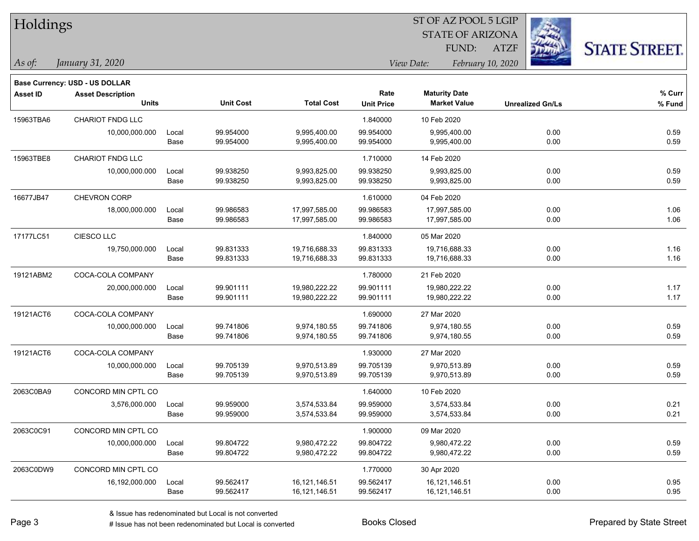| Holdings        |                                |       |                  |                   |                   | ST OF AZ POOL 5 LGIP            |                         |                      |
|-----------------|--------------------------------|-------|------------------|-------------------|-------------------|---------------------------------|-------------------------|----------------------|
|                 |                                |       |                  |                   |                   | <b>STATE OF ARIZONA</b>         |                         |                      |
|                 |                                |       |                  |                   |                   | FUND:                           | <b>ATZF</b>             | <b>STATE STREET.</b> |
| As of:          | January 31, 2020               |       |                  |                   |                   | View Date:<br>February 10, 2020 |                         |                      |
|                 | Base Currency: USD - US DOLLAR |       |                  |                   |                   |                                 |                         |                      |
| <b>Asset ID</b> | <b>Asset Description</b>       |       |                  |                   | Rate              | <b>Maturity Date</b>            |                         | % Curr               |
|                 | <b>Units</b>                   |       | <b>Unit Cost</b> | <b>Total Cost</b> | <b>Unit Price</b> | <b>Market Value</b>             | <b>Unrealized Gn/Ls</b> | % Fund               |
| 15963TBA6       | CHARIOT FNDG LLC               |       |                  |                   | 1.840000          | 10 Feb 2020                     |                         |                      |
|                 | 10,000,000.000                 | Local | 99.954000        | 9,995,400.00      | 99.954000         | 9,995,400.00                    | 0.00                    | 0.59                 |
|                 |                                | Base  | 99.954000        | 9,995,400.00      | 99.954000         | 9,995,400.00                    | 0.00                    | 0.59                 |
| 15963TBE8       | CHARIOT FNDG LLC               |       |                  |                   | 1.710000          | 14 Feb 2020                     |                         |                      |
|                 | 10,000,000.000                 | Local | 99.938250        | 9,993,825.00      | 99.938250         | 9,993,825.00                    | 0.00                    | 0.59                 |
|                 |                                | Base  | 99.938250        | 9,993,825.00      | 99.938250         | 9,993,825.00                    | 0.00                    | 0.59                 |
| 16677JB47       | <b>CHEVRON CORP</b>            |       |                  |                   | 1.610000          | 04 Feb 2020                     |                         |                      |
|                 | 18,000,000.000                 | Local | 99.986583        | 17,997,585.00     | 99.986583         | 17,997,585.00                   | 0.00                    | 1.06                 |
|                 |                                | Base  | 99.986583        | 17,997,585.00     | 99.986583         | 17,997,585.00                   | 0.00                    | 1.06                 |
| 17177LC51       | CIESCO LLC                     |       |                  |                   | 1.840000          | 05 Mar 2020                     |                         |                      |
|                 | 19,750,000.000                 | Local | 99.831333        | 19,716,688.33     | 99.831333         | 19,716,688.33                   | 0.00                    | 1.16                 |
|                 |                                | Base  | 99.831333        | 19,716,688.33     | 99.831333         | 19,716,688.33                   | 0.00                    | 1.16                 |
| 19121ABM2       | COCA-COLA COMPANY              |       |                  |                   | 1.780000          | 21 Feb 2020                     |                         |                      |
|                 | 20,000,000.000                 | Local | 99.901111        | 19,980,222.22     | 99.901111         | 19,980,222.22                   | 0.00                    | 1.17                 |
|                 |                                | Base  | 99.901111        | 19,980,222.22     | 99.901111         | 19,980,222.22                   | 0.00                    | 1.17                 |
| 19121ACT6       | COCA-COLA COMPANY              |       |                  |                   | 1.690000          | 27 Mar 2020                     |                         |                      |
|                 | 10,000,000.000                 | Local | 99.741806        | 9,974,180.55      | 99.741806         | 9,974,180.55                    | 0.00                    | 0.59                 |
|                 |                                | Base  | 99.741806        | 9,974,180.55      | 99.741806         | 9,974,180.55                    | 0.00                    | 0.59                 |
| 19121ACT6       | COCA-COLA COMPANY              |       |                  |                   | 1.930000          | 27 Mar 2020                     |                         |                      |
|                 | 10,000,000.000                 | Local | 99.705139        | 9,970,513.89      | 99.705139         | 9,970,513.89                    | 0.00                    | 0.59                 |
|                 |                                | Base  | 99.705139        | 9,970,513.89      | 99.705139         | 9,970,513.89                    | 0.00                    | 0.59                 |
| 2063C0BA9       | CONCORD MIN CPTL CO            |       |                  |                   | 1.640000          | 10 Feb 2020                     |                         |                      |
|                 | 3,576,000.000                  | Local | 99.959000        | 3,574,533.84      | 99.959000         | 3,574,533.84                    | 0.00                    | 0.21                 |
|                 |                                | Base  | 99.959000        | 3,574,533.84      | 99.959000         | 3,574,533.84                    | 0.00                    | 0.21                 |
| 2063C0C91       | CONCORD MIN CPTL CO            |       |                  |                   | 1.900000          | 09 Mar 2020                     |                         |                      |
|                 | 10,000,000.000                 | Local | 99.804722        | 9,980,472.22      | 99.804722         | 9,980,472.22                    | 0.00                    | 0.59                 |
|                 |                                | Base  | 99.804722        | 9,980,472.22      | 99.804722         | 9,980,472.22                    | 0.00                    | 0.59                 |
| 2063C0DW9       | CONCORD MIN CPTL CO            |       |                  |                   | 1.770000          | 30 Apr 2020                     |                         |                      |
|                 | 16,192,000.000                 | Local | 99.562417        | 16,121,146.51     | 99.562417         | 16,121,146.51                   | 0.00                    | 0.95                 |
|                 |                                | Base  | 99.562417        | 16,121,146.51     | 99.562417         | 16,121,146.51                   | 0.00                    | 0.95                 |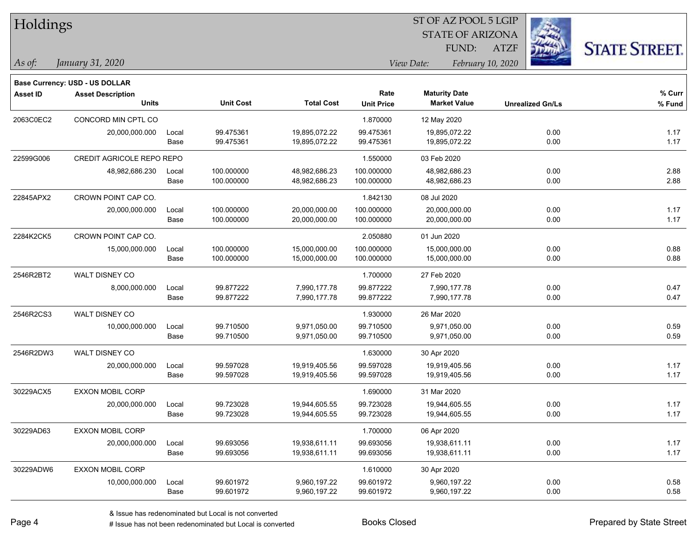| Holdings        |                                       |       |                  |                   |                   |                      |                         |                         |                      |
|-----------------|---------------------------------------|-------|------------------|-------------------|-------------------|----------------------|-------------------------|-------------------------|----------------------|
|                 |                                       |       |                  |                   |                   |                      | <b>STATE OF ARIZONA</b> |                         |                      |
|                 |                                       |       |                  |                   |                   | FUND:                | <b>ATZF</b>             |                         | <b>STATE STREET.</b> |
| As of:          | January 31, 2020                      |       |                  |                   |                   | View Date:           | February 10, 2020       |                         |                      |
|                 | <b>Base Currency: USD - US DOLLAR</b> |       |                  |                   |                   |                      |                         |                         |                      |
| <b>Asset ID</b> | <b>Asset Description</b>              |       |                  |                   | Rate              | <b>Maturity Date</b> |                         |                         | % Curr               |
|                 | <b>Units</b>                          |       | <b>Unit Cost</b> | <b>Total Cost</b> | <b>Unit Price</b> | <b>Market Value</b>  |                         | <b>Unrealized Gn/Ls</b> | % Fund               |
| 2063C0EC2       | CONCORD MIN CPTL CO                   |       |                  |                   | 1.870000          | 12 May 2020          |                         |                         |                      |
|                 | 20,000,000.000                        | Local | 99.475361        | 19,895,072.22     | 99.475361         | 19,895,072.22        |                         | 0.00                    | 1.17                 |
|                 |                                       | Base  | 99.475361        | 19,895,072.22     | 99.475361         | 19,895,072.22        |                         | 0.00                    | 1.17                 |
| 22599G006       | CREDIT AGRICOLE REPO REPO             |       |                  |                   | 1.550000          | 03 Feb 2020          |                         |                         |                      |
|                 | 48,982,686.230                        | Local | 100.000000       | 48,982,686.23     | 100.000000        | 48,982,686.23        |                         | 0.00                    | 2.88                 |
|                 |                                       | Base  | 100.000000       | 48,982,686.23     | 100.000000        | 48,982,686.23        |                         | 0.00                    | 2.88                 |
| 22845APX2       | CROWN POINT CAP CO.                   |       |                  |                   | 1.842130          | 08 Jul 2020          |                         |                         |                      |
|                 | 20,000,000.000                        | Local | 100.000000       | 20,000,000.00     | 100.000000        | 20,000,000.00        |                         | 0.00                    | 1.17                 |
|                 |                                       | Base  | 100.000000       | 20,000,000.00     | 100.000000        | 20,000,000.00        |                         | 0.00                    | 1.17                 |
| 2284K2CK5       | CROWN POINT CAP CO.                   |       |                  |                   | 2.050880          | 01 Jun 2020          |                         |                         |                      |
|                 | 15,000,000.000                        | Local | 100.000000       | 15,000,000.00     | 100.000000        | 15,000,000.00        |                         | 0.00                    | 0.88                 |
|                 |                                       | Base  | 100.000000       | 15,000,000.00     | 100.000000        | 15,000,000.00        |                         | 0.00                    | 0.88                 |
| 2546R2BT2       | WALT DISNEY CO                        |       |                  |                   | 1.700000          | 27 Feb 2020          |                         |                         |                      |
|                 | 8,000,000.000                         | Local | 99.877222        | 7,990,177.78      | 99.877222         | 7,990,177.78         |                         | 0.00                    | 0.47                 |
|                 |                                       | Base  | 99.877222        | 7,990,177.78      | 99.877222         | 7,990,177.78         |                         | 0.00                    | 0.47                 |
| 2546R2CS3       | WALT DISNEY CO                        |       |                  |                   | 1.930000          | 26 Mar 2020          |                         |                         |                      |
|                 | 10,000,000.000                        | Local | 99.710500        | 9,971,050.00      | 99.710500         | 9,971,050.00         |                         | 0.00                    | 0.59                 |
|                 |                                       | Base  | 99.710500        | 9,971,050.00      | 99.710500         | 9,971,050.00         |                         | 0.00                    | 0.59                 |
| 2546R2DW3       | WALT DISNEY CO                        |       |                  |                   | 1.630000          | 30 Apr 2020          |                         |                         |                      |
|                 | 20,000,000.000                        | Local | 99.597028        | 19,919,405.56     | 99.597028         | 19,919,405.56        |                         | 0.00                    | 1.17                 |
|                 |                                       | Base  | 99.597028        | 19,919,405.56     | 99.597028         | 19,919,405.56        |                         | 0.00                    | 1.17                 |
| 30229ACX5       | EXXON MOBIL CORP                      |       |                  |                   | 1.690000          | 31 Mar 2020          |                         |                         |                      |
|                 | 20,000,000.000                        | Local | 99.723028        | 19,944,605.55     | 99.723028         | 19,944,605.55        |                         | 0.00                    | 1.17                 |
|                 |                                       | Base  | 99.723028        | 19,944,605.55     | 99.723028         | 19,944,605.55        |                         | 0.00                    | 1.17                 |
| 30229AD63       | EXXON MOBIL CORP                      |       |                  |                   | 1.700000          | 06 Apr 2020          |                         |                         |                      |
|                 | 20,000,000.000                        | Local | 99.693056        | 19,938,611.11     | 99.693056         | 19,938,611.11        |                         | 0.00                    | 1.17                 |
|                 |                                       | Base  | 99.693056        | 19,938,611.11     | 99.693056         | 19,938,611.11        |                         | 0.00                    | 1.17                 |
| 30229ADW6       | EXXON MOBIL CORP                      |       |                  |                   | 1.610000          | 30 Apr 2020          |                         |                         |                      |
|                 | 10,000,000.000                        | Local | 99.601972        | 9,960,197.22      | 99.601972         | 9,960,197.22         |                         | 0.00                    | 0.58                 |
|                 |                                       | Base  | 99.601972        | 9,960,197.22      | 99.601972         | 9,960,197.22         |                         | 0.00                    | 0.58                 |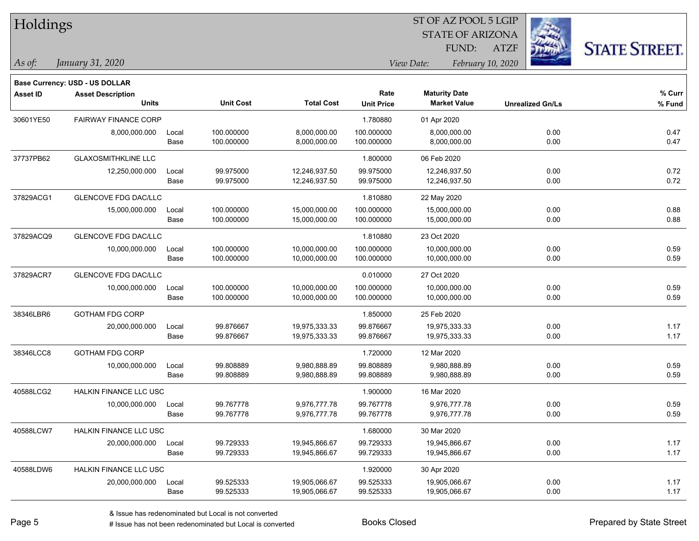| Holdings        |                                                            |       |                  |                   |                   |                         |                   |                         |                      |
|-----------------|------------------------------------------------------------|-------|------------------|-------------------|-------------------|-------------------------|-------------------|-------------------------|----------------------|
|                 |                                                            |       |                  |                   |                   | <b>STATE OF ARIZONA</b> |                   |                         |                      |
|                 |                                                            |       |                  |                   |                   | FUND:                   | <b>ATZF</b>       |                         | <b>STATE STREET.</b> |
| As of:          | January 31, 2020                                           |       |                  |                   |                   | View Date:              | February 10, 2020 |                         |                      |
|                 |                                                            |       |                  |                   |                   |                         |                   |                         |                      |
| <b>Asset ID</b> | Base Currency: USD - US DOLLAR<br><b>Asset Description</b> |       |                  |                   | Rate              | <b>Maturity Date</b>    |                   |                         | % Curr               |
|                 | <b>Units</b>                                               |       | <b>Unit Cost</b> | <b>Total Cost</b> | <b>Unit Price</b> | <b>Market Value</b>     |                   | <b>Unrealized Gn/Ls</b> | % Fund               |
| 30601YE50       | <b>FAIRWAY FINANCE CORP</b>                                |       |                  |                   | 1.780880          | 01 Apr 2020             |                   |                         |                      |
|                 | 8,000,000.000                                              | Local | 100.000000       | 8,000,000.00      | 100.000000        | 8,000,000.00            |                   | 0.00                    | 0.47                 |
|                 |                                                            | Base  | 100.000000       | 8,000,000.00      | 100.000000        | 8,000,000.00            |                   | 0.00                    | 0.47                 |
| 37737PB62       | <b>GLAXOSMITHKLINE LLC</b>                                 |       |                  |                   | 1.800000          | 06 Feb 2020             |                   |                         |                      |
|                 | 12,250,000.000                                             | Local | 99.975000        | 12,246,937.50     | 99.975000         | 12,246,937.50           |                   | 0.00                    | 0.72                 |
|                 |                                                            | Base  | 99.975000        | 12,246,937.50     | 99.975000         | 12,246,937.50           |                   | 0.00                    | 0.72                 |
| 37829ACG1       | <b>GLENCOVE FDG DAC/LLC</b>                                |       |                  |                   | 1.810880          | 22 May 2020             |                   |                         |                      |
|                 | 15,000,000.000                                             | Local | 100.000000       | 15,000,000.00     | 100.000000        | 15,000,000.00           |                   | 0.00                    | 0.88                 |
|                 |                                                            | Base  | 100.000000       | 15,000,000.00     | 100.000000        | 15,000,000.00           |                   | 0.00                    | 0.88                 |
| 37829ACQ9       | <b>GLENCOVE FDG DAC/LLC</b>                                |       |                  |                   | 1.810880          | 23 Oct 2020             |                   |                         |                      |
|                 | 10,000,000.000                                             | Local | 100.000000       | 10,000,000.00     | 100.000000        | 10,000,000.00           |                   | 0.00                    | 0.59                 |
|                 |                                                            | Base  | 100.000000       | 10,000,000.00     | 100.000000        | 10,000,000.00           |                   | 0.00                    | 0.59                 |
| 37829ACR7       | <b>GLENCOVE FDG DAC/LLC</b>                                |       |                  |                   | 0.010000          | 27 Oct 2020             |                   |                         |                      |
|                 | 10,000,000.000                                             | Local | 100.000000       | 10,000,000.00     | 100.000000        | 10,000,000.00           |                   | 0.00                    | 0.59                 |
|                 |                                                            | Base  | 100.000000       | 10,000,000.00     | 100.000000        | 10,000,000.00           |                   | 0.00                    | 0.59                 |
| 38346LBR6       | <b>GOTHAM FDG CORP</b>                                     |       |                  |                   | 1.850000          | 25 Feb 2020             |                   |                         |                      |
|                 | 20,000,000.000                                             | Local | 99.876667        | 19,975,333.33     | 99.876667         | 19,975,333.33           |                   | 0.00                    | 1.17                 |
|                 |                                                            | Base  | 99.876667        | 19,975,333.33     | 99.876667         | 19,975,333.33           |                   | 0.00                    | 1.17                 |
| 38346LCC8       | <b>GOTHAM FDG CORP</b>                                     |       |                  |                   | 1.720000          | 12 Mar 2020             |                   |                         |                      |
|                 | 10,000,000.000                                             | Local | 99.808889        | 9,980,888.89      | 99.808889         | 9,980,888.89            |                   | 0.00                    | 0.59                 |
|                 |                                                            | Base  | 99.808889        | 9,980,888.89      | 99.808889         | 9,980,888.89            |                   | 0.00                    | 0.59                 |
| 40588LCG2       | HALKIN FINANCE LLC USC                                     |       |                  |                   | 1.900000          | 16 Mar 2020             |                   |                         |                      |
|                 | 10,000,000.000                                             | Local | 99.767778        | 9,976,777.78      | 99.767778         | 9,976,777.78            |                   | 0.00                    | 0.59                 |
|                 |                                                            | Base  | 99.767778        | 9,976,777.78      | 99.767778         | 9,976,777.78            |                   | 0.00                    | 0.59                 |
| 40588LCW7       | HALKIN FINANCE LLC USC                                     |       |                  |                   | 1.680000          | 30 Mar 2020             |                   |                         |                      |
|                 | 20,000,000.000                                             | Local | 99.729333        | 19,945,866.67     | 99.729333         | 19,945,866.67           |                   | 0.00                    | 1.17                 |
|                 |                                                            | Base  | 99.729333        | 19,945,866.67     | 99.729333         | 19,945,866.67           |                   | 0.00                    | 1.17                 |
| 40588LDW6       | HALKIN FINANCE LLC USC                                     |       |                  |                   | 1.920000          | 30 Apr 2020             |                   |                         |                      |
|                 | 20,000,000.000                                             | Local | 99.525333        | 19,905,066.67     | 99.525333         | 19,905,066.67           |                   | 0.00                    | 1.17                 |
|                 |                                                            | Base  | 99.525333        | 19,905,066.67     | 99.525333         | 19,905,066.67           |                   | 0.00                    | 1.17                 |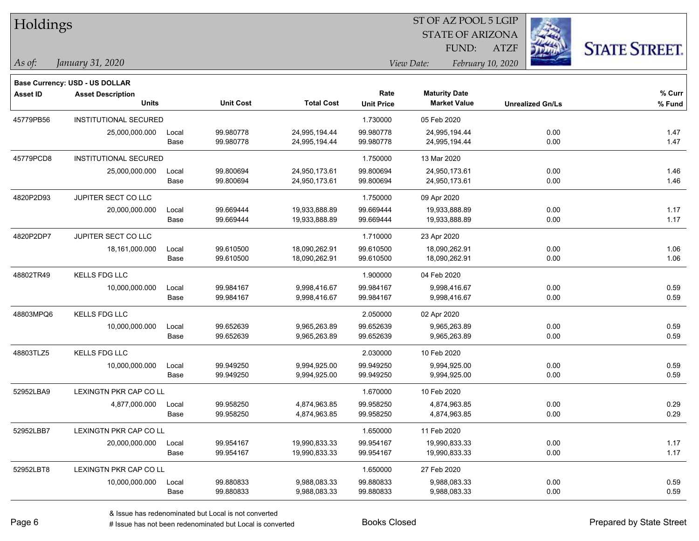| Holdings        |                                       |       |                  |                   |                   | ST OF AZ POOL 5 LGIP    |                   |                         |                      |
|-----------------|---------------------------------------|-------|------------------|-------------------|-------------------|-------------------------|-------------------|-------------------------|----------------------|
|                 |                                       |       |                  |                   |                   | <b>STATE OF ARIZONA</b> |                   |                         |                      |
|                 |                                       |       |                  |                   |                   | FUND:                   | <b>ATZF</b>       |                         | <b>STATE STREET.</b> |
| As of:          | January 31, 2020                      |       |                  |                   |                   | View Date:              | February 10, 2020 |                         |                      |
|                 | <b>Base Currency: USD - US DOLLAR</b> |       |                  |                   |                   |                         |                   |                         |                      |
| <b>Asset ID</b> | <b>Asset Description</b>              |       |                  |                   | Rate              | <b>Maturity Date</b>    |                   |                         | % Curr               |
|                 | <b>Units</b>                          |       | <b>Unit Cost</b> | <b>Total Cost</b> | <b>Unit Price</b> | <b>Market Value</b>     |                   | <b>Unrealized Gn/Ls</b> | % Fund               |
| 45779PB56       | INSTITUTIONAL SECURED                 |       |                  |                   | 1.730000          | 05 Feb 2020             |                   |                         |                      |
|                 | 25,000,000.000                        | Local | 99.980778        | 24,995,194.44     | 99.980778         | 24,995,194.44           |                   | 0.00                    | 1.47                 |
|                 |                                       | Base  | 99.980778        | 24,995,194.44     | 99.980778         | 24,995,194.44           |                   | 0.00                    | 1.47                 |
| 45779PCD8       | <b>INSTITUTIONAL SECURED</b>          |       |                  |                   | 1.750000          | 13 Mar 2020             |                   |                         |                      |
|                 | 25,000,000.000                        | Local | 99.800694        | 24,950,173.61     | 99.800694         | 24,950,173.61           |                   | 0.00                    | 1.46                 |
|                 |                                       | Base  | 99.800694        | 24,950,173.61     | 99.800694         | 24,950,173.61           |                   | 0.00                    | 1.46                 |
| 4820P2D93       | JUPITER SECT CO LLC                   |       |                  |                   | 1.750000          | 09 Apr 2020             |                   |                         |                      |
|                 | 20,000,000.000                        | Local | 99.669444        | 19,933,888.89     | 99.669444         | 19,933,888.89           |                   | 0.00                    | 1.17                 |
|                 |                                       | Base  | 99.669444        | 19,933,888.89     | 99.669444         | 19,933,888.89           |                   | 0.00                    | 1.17                 |
| 4820P2DP7       | JUPITER SECT CO LLC                   |       |                  |                   | 1.710000          | 23 Apr 2020             |                   |                         |                      |
|                 | 18,161,000.000                        | Local | 99.610500        | 18,090,262.91     | 99.610500         | 18,090,262.91           |                   | 0.00                    | 1.06                 |
|                 |                                       | Base  | 99.610500        | 18,090,262.91     | 99.610500         | 18,090,262.91           |                   | 0.00                    | 1.06                 |
| 48802TR49       | <b>KELLS FDG LLC</b>                  |       |                  |                   | 1.900000          | 04 Feb 2020             |                   |                         |                      |
|                 | 10,000,000.000                        | Local | 99.984167        | 9,998,416.67      | 99.984167         | 9,998,416.67            |                   | 0.00                    | 0.59                 |
|                 |                                       | Base  | 99.984167        | 9,998,416.67      | 99.984167         | 9,998,416.67            |                   | 0.00                    | 0.59                 |
| 48803MPQ6       | <b>KELLS FDG LLC</b>                  |       |                  |                   | 2.050000          | 02 Apr 2020             |                   |                         |                      |
|                 | 10,000,000.000                        | Local | 99.652639        | 9,965,263.89      | 99.652639         | 9,965,263.89            |                   | 0.00                    | 0.59                 |
|                 |                                       | Base  | 99.652639        | 9,965,263.89      | 99.652639         | 9,965,263.89            |                   | 0.00                    | 0.59                 |
| 48803TLZ5       | <b>KELLS FDG LLC</b>                  |       |                  |                   | 2.030000          | 10 Feb 2020             |                   |                         |                      |
|                 | 10,000,000.000                        | Local | 99.949250        | 9,994,925.00      | 99.949250         | 9,994,925.00            |                   | 0.00                    | 0.59                 |
|                 |                                       | Base  | 99.949250        | 9,994,925.00      | 99.949250         | 9,994,925.00            |                   | 0.00                    | 0.59                 |
| 52952LBA9       | <b>LEXINGTN PKR CAP CO LL</b>         |       |                  |                   | 1.670000          | 10 Feb 2020             |                   |                         |                      |
|                 | 4,877,000.000                         | Local | 99.958250        | 4,874,963.85      | 99.958250         | 4,874,963.85            |                   | 0.00                    | 0.29                 |
|                 |                                       | Base  | 99.958250        | 4,874,963.85      | 99.958250         | 4,874,963.85            |                   | 0.00                    | 0.29                 |
| 52952LBB7       | LEXINGTN PKR CAP CO LL                |       |                  |                   | 1.650000          | 11 Feb 2020             |                   |                         |                      |
|                 | 20,000,000.000                        | Local | 99.954167        | 19,990,833.33     | 99.954167         | 19,990,833.33           |                   | 0.00                    | 1.17                 |
|                 |                                       | Base  | 99.954167        | 19,990,833.33     | 99.954167         | 19,990,833.33           |                   | 0.00                    | 1.17                 |
| 52952LBT8       | LEXINGTN PKR CAP CO LL                |       |                  |                   | 1.650000          | 27 Feb 2020             |                   |                         |                      |
|                 | 10,000,000.000                        | Local | 99.880833        | 9,988,083.33      | 99.880833         | 9,988,083.33            |                   | 0.00                    | 0.59                 |
|                 |                                       | Base  | 99.880833        | 9,988,083.33      | 99.880833         | 9,988,083.33            |                   | 0.00                    | 0.59                 |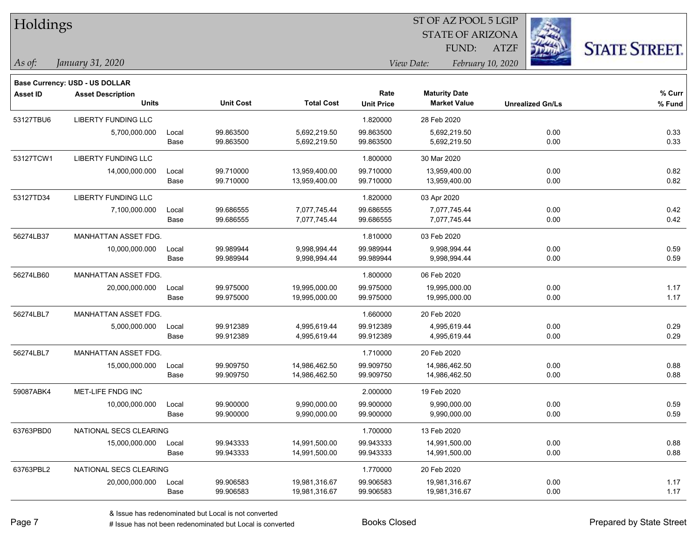| Holdings        |                                                            |       |                  |                   |                   | ST OF AZ POOL 5 LGIP    |                   |                         |                      |
|-----------------|------------------------------------------------------------|-------|------------------|-------------------|-------------------|-------------------------|-------------------|-------------------------|----------------------|
|                 |                                                            |       |                  |                   |                   | <b>STATE OF ARIZONA</b> |                   |                         |                      |
|                 |                                                            |       |                  |                   |                   | FUND:                   | <b>ATZF</b>       |                         | <b>STATE STREET.</b> |
| $\vert$ As of:  | January 31, 2020                                           |       |                  |                   |                   | View Date:              | February 10, 2020 |                         |                      |
|                 |                                                            |       |                  |                   |                   |                         |                   |                         |                      |
| <b>Asset ID</b> | Base Currency: USD - US DOLLAR<br><b>Asset Description</b> |       |                  |                   | Rate              | <b>Maturity Date</b>    |                   |                         | $%$ Curr             |
|                 | <b>Units</b>                                               |       | <b>Unit Cost</b> | <b>Total Cost</b> | <b>Unit Price</b> | <b>Market Value</b>     |                   | <b>Unrealized Gn/Ls</b> | % Fund               |
| 53127TBU6       | <b>LIBERTY FUNDING LLC</b>                                 |       |                  |                   | 1.820000          | 28 Feb 2020             |                   |                         |                      |
|                 | 5,700,000.000                                              | Local | 99.863500        | 5,692,219.50      | 99.863500         | 5,692,219.50            |                   | 0.00                    | 0.33                 |
|                 |                                                            | Base  | 99.863500        | 5,692,219.50      | 99.863500         | 5,692,219.50            |                   | 0.00                    | 0.33                 |
| 53127TCW1       | LIBERTY FUNDING LLC                                        |       |                  |                   | 1.800000          | 30 Mar 2020             |                   |                         |                      |
|                 | 14,000,000.000                                             | Local | 99.710000        | 13,959,400.00     | 99.710000         | 13,959,400.00           |                   | 0.00                    | 0.82                 |
|                 |                                                            | Base  | 99.710000        | 13,959,400.00     | 99.710000         | 13,959,400.00           |                   | 0.00                    | 0.82                 |
| 53127TD34       | <b>LIBERTY FUNDING LLC</b>                                 |       |                  |                   | 1.820000          | 03 Apr 2020             |                   |                         |                      |
|                 | 7,100,000.000                                              | Local | 99.686555        | 7,077,745.44      | 99.686555         | 7,077,745.44            |                   | 0.00                    | 0.42                 |
|                 |                                                            | Base  | 99.686555        | 7,077,745.44      | 99.686555         | 7,077,745.44            |                   | 0.00                    | 0.42                 |
| 56274LB37       | MANHATTAN ASSET FDG.                                       |       |                  |                   | 1.810000          | 03 Feb 2020             |                   |                         |                      |
|                 | 10,000,000.000                                             | Local | 99.989944        | 9.998.994.44      | 99.989944         | 9,998,994.44            |                   | 0.00                    | 0.59                 |
|                 |                                                            | Base  | 99.989944        | 9,998,994.44      | 99.989944         | 9,998,994.44            |                   | 0.00                    | 0.59                 |
| 56274LB60       | MANHATTAN ASSET FDG.                                       |       |                  |                   | 1.800000          | 06 Feb 2020             |                   |                         |                      |
|                 | 20,000,000.000                                             | Local | 99.975000        | 19,995,000.00     | 99.975000         | 19,995,000.00           |                   | 0.00                    | 1.17                 |
|                 |                                                            | Base  | 99.975000        | 19,995,000.00     | 99.975000         | 19,995,000.00           |                   | 0.00                    | 1.17                 |
| 56274LBL7       | MANHATTAN ASSET FDG.                                       |       |                  |                   | 1.660000          | 20 Feb 2020             |                   |                         |                      |
|                 | 5,000,000.000                                              | Local | 99.912389        | 4,995,619.44      | 99.912389         | 4,995,619.44            |                   | 0.00                    | 0.29                 |
|                 |                                                            | Base  | 99.912389        | 4,995,619.44      | 99.912389         | 4,995,619.44            |                   | 0.00                    | 0.29                 |
| 56274LBL7       | MANHATTAN ASSET FDG.                                       |       |                  |                   | 1.710000          | 20 Feb 2020             |                   |                         |                      |
|                 | 15,000,000.000                                             | Local | 99.909750        | 14,986,462.50     | 99.909750         | 14,986,462.50           |                   | 0.00                    | 0.88                 |
|                 |                                                            | Base  | 99.909750        | 14,986,462.50     | 99.909750         | 14,986,462.50           |                   | 0.00                    | 0.88                 |
| 59087ABK4       | MET-LIFE FNDG INC                                          |       |                  |                   | 2.000000          | 19 Feb 2020             |                   |                         |                      |
|                 | 10,000,000.000                                             | Local | 99.900000        | 9,990,000.00      | 99.900000         | 9,990,000.00            |                   | 0.00                    | 0.59                 |
|                 |                                                            | Base  | 99.900000        | 9,990,000.00      | 99.900000         | 9,990,000.00            |                   | 0.00                    | 0.59                 |
| 63763PBD0       | NATIONAL SECS CLEARING                                     |       |                  |                   | 1.700000          | 13 Feb 2020             |                   |                         |                      |
|                 | 15,000,000.000                                             | Local | 99.943333        | 14,991,500.00     | 99.943333         | 14,991,500.00           |                   | 0.00                    | 0.88                 |
|                 |                                                            | Base  | 99.943333        | 14,991,500.00     | 99.943333         | 14,991,500.00           |                   | 0.00                    | 0.88                 |
| 63763PBL2       | NATIONAL SECS CLEARING                                     |       |                  |                   | 1.770000          | 20 Feb 2020             |                   |                         |                      |
|                 | 20,000,000.000                                             | Local | 99.906583        | 19,981,316.67     | 99.906583         | 19,981,316.67           |                   | 0.00                    | 1.17                 |
|                 |                                                            | Base  | 99.906583        | 19,981,316.67     | 99.906583         | 19,981,316.67           |                   | 0.00                    | 1.17                 |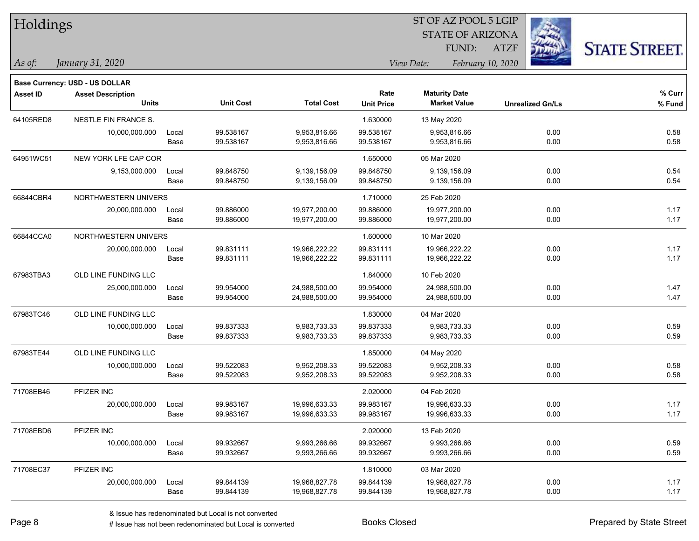| Holdings        |                                                                   |       |                  |                   |                                 | ST OF AZ POOL 5 LGIP    |                         |      |                      |
|-----------------|-------------------------------------------------------------------|-------|------------------|-------------------|---------------------------------|-------------------------|-------------------------|------|----------------------|
|                 |                                                                   |       |                  |                   |                                 | <b>STATE OF ARIZONA</b> |                         |      |                      |
|                 |                                                                   |       |                  |                   |                                 | FUND:                   | <b>ATZF</b>             |      | <b>STATE STREET.</b> |
| $\vert$ As of:  | January 31, 2020                                                  |       |                  |                   | View Date:<br>February 10, 2020 |                         |                         |      |                      |
|                 |                                                                   |       |                  |                   |                                 |                         |                         |      |                      |
| <b>Asset ID</b> | <b>Base Currency: USD - US DOLLAR</b><br><b>Asset Description</b> |       |                  |                   | Rate                            | <b>Maturity Date</b>    |                         |      | % Curr               |
|                 | <b>Units</b>                                                      |       | <b>Unit Cost</b> | <b>Total Cost</b> | <b>Unit Price</b>               | <b>Market Value</b>     | <b>Unrealized Gn/Ls</b> |      | % Fund               |
| 64105RED8       | NESTLE FIN FRANCE S.                                              |       |                  |                   | 1.630000                        | 13 May 2020             |                         |      |                      |
|                 | 10,000,000.000                                                    | Local | 99.538167        | 9,953,816.66      | 99.538167                       | 9,953,816.66            |                         | 0.00 | 0.58                 |
|                 |                                                                   | Base  | 99.538167        | 9,953,816.66      | 99.538167                       | 9,953,816.66            |                         | 0.00 | 0.58                 |
| 64951WC51       | NEW YORK LFE CAP COR                                              |       |                  |                   | 1.650000                        | 05 Mar 2020             |                         |      |                      |
|                 | 9,153,000.000                                                     | Local | 99.848750        | 9,139,156.09      | 99.848750                       | 9,139,156.09            |                         | 0.00 | 0.54                 |
|                 |                                                                   | Base  | 99.848750        | 9,139,156.09      | 99.848750                       | 9,139,156.09            |                         | 0.00 | 0.54                 |
| 66844CBR4       | NORTHWESTERN UNIVERS                                              |       |                  |                   | 1.710000                        | 25 Feb 2020             |                         |      |                      |
|                 | 20,000,000.000                                                    | Local | 99.886000        | 19,977,200.00     | 99.886000                       | 19,977,200.00           |                         | 0.00 | 1.17                 |
|                 |                                                                   | Base  | 99.886000        | 19,977,200.00     | 99.886000                       | 19,977,200.00           |                         | 0.00 | 1.17                 |
| 66844CCA0       | NORTHWESTERN UNIVERS                                              |       |                  |                   | 1.600000                        | 10 Mar 2020             |                         |      |                      |
|                 | 20,000,000.000                                                    | Local | 99.831111        | 19,966,222.22     | 99.831111                       | 19,966,222.22           |                         | 0.00 | 1.17                 |
|                 |                                                                   | Base  | 99.831111        | 19,966,222.22     | 99.831111                       | 19,966,222.22           |                         | 0.00 | 1.17                 |
| 67983TBA3       | OLD LINE FUNDING LLC                                              |       |                  |                   | 1.840000                        | 10 Feb 2020             |                         |      |                      |
|                 | 25,000,000.000                                                    | Local | 99.954000        | 24,988,500.00     | 99.954000                       | 24,988,500.00           |                         | 0.00 | 1.47                 |
|                 |                                                                   | Base  | 99.954000        | 24,988,500.00     | 99.954000                       | 24,988,500.00           |                         | 0.00 | 1.47                 |
| 67983TC46       | OLD LINE FUNDING LLC                                              |       |                  |                   | 1.830000                        | 04 Mar 2020             |                         |      |                      |
|                 | 10,000,000.000                                                    | Local | 99.837333        | 9,983,733.33      | 99.837333                       | 9,983,733.33            |                         | 0.00 | 0.59                 |
|                 |                                                                   | Base  | 99.837333        | 9,983,733.33      | 99.837333                       | 9,983,733.33            |                         | 0.00 | 0.59                 |
| 67983TE44       | OLD LINE FUNDING LLC                                              |       |                  |                   | 1.850000                        | 04 May 2020             |                         |      |                      |
|                 | 10,000,000.000                                                    | Local | 99.522083        | 9,952,208.33      | 99.522083                       | 9,952,208.33            |                         | 0.00 | 0.58                 |
|                 |                                                                   | Base  | 99.522083        | 9,952,208.33      | 99.522083                       | 9,952,208.33            |                         | 0.00 | 0.58                 |
| 71708EB46       | PFIZER INC                                                        |       |                  |                   | 2.020000                        | 04 Feb 2020             |                         |      |                      |
|                 | 20,000,000.000                                                    | Local | 99.983167        | 19,996,633.33     | 99.983167                       | 19,996,633.33           |                         | 0.00 | 1.17                 |
|                 |                                                                   | Base  | 99.983167        | 19,996,633.33     | 99.983167                       | 19,996,633.33           |                         | 0.00 | 1.17                 |
| 71708EBD6       | PFIZER INC                                                        |       |                  |                   | 2.020000                        | 13 Feb 2020             |                         |      |                      |
|                 | 10,000,000.000                                                    | Local | 99.932667        | 9,993,266.66      | 99.932667                       | 9,993,266.66            |                         | 0.00 | 0.59                 |
|                 |                                                                   | Base  | 99.932667        | 9,993,266.66      | 99.932667                       | 9,993,266.66            |                         | 0.00 | 0.59                 |
| 71708EC37       | PFIZER INC                                                        |       |                  |                   | 1.810000                        | 03 Mar 2020             |                         |      |                      |
|                 | 20,000,000.000                                                    | Local | 99.844139        | 19,968,827.78     | 99.844139                       | 19,968,827.78           |                         | 0.00 | 1.17                 |
|                 |                                                                   | Base  | 99.844139        | 19,968,827.78     | 99.844139                       | 19,968,827.78           |                         | 0.00 | 1.17                 |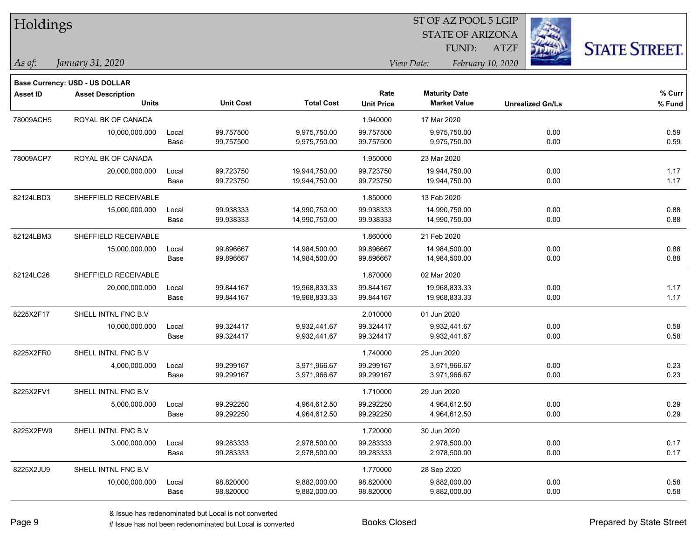| Holdings        |                                          |               |                        | ST OF AZ POOL 5 LGIP           |                           |                                             |                   |                         |                      |
|-----------------|------------------------------------------|---------------|------------------------|--------------------------------|---------------------------|---------------------------------------------|-------------------|-------------------------|----------------------|
|                 |                                          |               |                        |                                |                           | <b>STATE OF ARIZONA</b>                     |                   |                         |                      |
|                 |                                          |               |                        |                                |                           | FUND:                                       | <b>ATZF</b>       |                         | <b>STATE STREET.</b> |
| As of:          | January 31, 2020                         |               |                        |                                |                           | View Date:                                  | February 10, 2020 |                         |                      |
|                 |                                          |               |                        |                                |                           |                                             |                   |                         |                      |
|                 | Base Currency: USD - US DOLLAR           |               |                        |                                |                           |                                             |                   |                         |                      |
| <b>Asset ID</b> | <b>Asset Description</b><br><b>Units</b> |               | <b>Unit Cost</b>       | <b>Total Cost</b>              | Rate<br><b>Unit Price</b> | <b>Maturity Date</b><br><b>Market Value</b> |                   | <b>Unrealized Gn/Ls</b> | $%$ Curr<br>% Fund   |
|                 |                                          |               |                        |                                |                           |                                             |                   |                         |                      |
| 78009ACH5       | ROYAL BK OF CANADA                       |               |                        | 9,975,750.00                   | 1.940000                  | 17 Mar 2020                                 |                   |                         |                      |
|                 | 10,000,000.000                           | Local<br>Base | 99.757500<br>99.757500 | 9,975,750.00                   | 99.757500<br>99.757500    | 9,975,750.00<br>9,975,750.00                |                   | 0.00<br>0.00            | 0.59<br>0.59         |
|                 |                                          |               |                        |                                |                           |                                             |                   |                         |                      |
| 78009ACP7       | ROYAL BK OF CANADA                       |               |                        |                                | 1.950000                  | 23 Mar 2020                                 |                   |                         |                      |
|                 | 20,000,000.000                           | Local<br>Base | 99.723750<br>99.723750 | 19,944,750.00<br>19,944,750.00 | 99.723750<br>99.723750    | 19,944,750.00<br>19,944,750.00              |                   | 0.00<br>0.00            | 1.17<br>1.17         |
|                 |                                          |               |                        |                                |                           |                                             |                   |                         |                      |
| 82124LBD3       | SHEFFIELD RECEIVABLE                     |               |                        |                                | 1.850000                  | 13 Feb 2020                                 |                   |                         |                      |
|                 | 15,000,000.000                           | Local         | 99.938333              | 14,990,750.00                  | 99.938333                 | 14,990,750.00                               |                   | 0.00                    | 0.88                 |
|                 |                                          | Base          | 99.938333              | 14,990,750.00                  | 99.938333                 | 14,990,750.00                               |                   | 0.00                    | 0.88                 |
| 82124LBM3       | SHEFFIELD RECEIVABLE                     |               |                        |                                | 1.860000                  | 21 Feb 2020                                 |                   |                         |                      |
|                 | 15,000,000.000                           | Local         | 99.896667              | 14,984,500.00                  | 99.896667                 | 14,984,500.00                               |                   | 0.00                    | 0.88                 |
|                 |                                          | Base          | 99.896667              | 14,984,500.00                  | 99.896667                 | 14,984,500.00                               |                   | 0.00                    | 0.88                 |
| 82124LC26       | SHEFFIELD RECEIVABLE                     |               |                        |                                | 1.870000                  | 02 Mar 2020                                 |                   |                         |                      |
|                 | 20,000,000.000                           | Local         | 99.844167              | 19,968,833.33                  | 99.844167                 | 19,968,833.33                               |                   | 0.00                    | 1.17                 |
|                 |                                          | Base          | 99.844167              | 19,968,833.33                  | 99.844167                 | 19,968,833.33                               |                   | 0.00                    | 1.17                 |
| 8225X2F17       | SHELL INTNL FNC B.V                      |               |                        |                                | 2.010000                  | 01 Jun 2020                                 |                   |                         |                      |
|                 | 10,000,000.000                           | Local         | 99.324417              | 9,932,441.67                   | 99.324417                 | 9,932,441.67                                |                   | 0.00                    | 0.58                 |
|                 |                                          | Base          | 99.324417              | 9,932,441.67                   | 99.324417                 | 9,932,441.67                                |                   | 0.00                    | 0.58                 |
| 8225X2FR0       | SHELL INTNL FNC B.V                      |               |                        |                                | 1.740000                  | 25 Jun 2020                                 |                   |                         |                      |
|                 | 4,000,000.000                            | Local         | 99.299167              | 3,971,966.67                   | 99.299167                 | 3,971,966.67                                |                   | 0.00                    | 0.23                 |
|                 |                                          | Base          | 99.299167              | 3,971,966.67                   | 99.299167                 | 3,971,966.67                                |                   | 0.00                    | 0.23                 |
| 8225X2FV1       | SHELL INTNL FNC B.V                      |               |                        |                                | 1.710000                  | 29 Jun 2020                                 |                   |                         |                      |
|                 | 5,000,000.000                            | Local         | 99.292250              | 4,964,612.50                   | 99.292250                 | 4,964,612.50                                |                   | 0.00                    | 0.29                 |
|                 |                                          | Base          | 99.292250              | 4,964,612.50                   | 99.292250                 | 4,964,612.50                                |                   | 0.00                    | 0.29                 |
| 8225X2FW9       | SHELL INTNL FNC B.V                      |               |                        |                                | 1.720000                  | 30 Jun 2020                                 |                   |                         |                      |
|                 | 3,000,000.000                            | Local         | 99.283333              | 2,978,500.00                   | 99.283333                 | 2,978,500.00                                |                   | 0.00                    | 0.17                 |
|                 |                                          | Base          | 99.283333              | 2,978,500.00                   | 99.283333                 | 2,978,500.00                                |                   | 0.00                    | 0.17                 |
| 8225X2JU9       | SHELL INTNL FNC B.V                      |               |                        |                                | 1.770000                  | 28 Sep 2020                                 |                   |                         |                      |
|                 | 10,000,000.000                           | Local         | 98.820000              | 9,882,000.00                   | 98.820000                 | 9,882,000.00                                |                   | 0.00                    | 0.58                 |
|                 |                                          | Base          | 98.820000              | 9,882,000.00                   | 98.820000                 | 9,882,000.00                                |                   | 0.00                    | 0.58                 |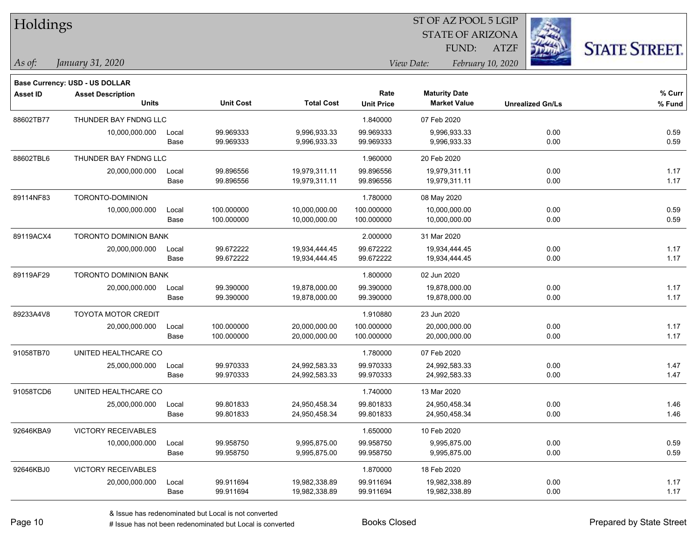| Holdings        |                                |       |                  |                   |                   | 51 OF AZ POOL 5 LGIP    |                         |                      |
|-----------------|--------------------------------|-------|------------------|-------------------|-------------------|-------------------------|-------------------------|----------------------|
|                 |                                |       |                  |                   |                   | <b>STATE OF ARIZONA</b> |                         |                      |
|                 |                                |       |                  |                   |                   | FUND:                   | <b>ATZF</b>             | <b>STATE STREET.</b> |
| $As$ of:        | January 31, 2020               |       |                  |                   |                   | View Date:              | February 10, 2020       |                      |
|                 | Base Currency: USD - US DOLLAR |       |                  |                   |                   |                         |                         |                      |
| <b>Asset ID</b> | <b>Asset Description</b>       |       |                  |                   | Rate              | <b>Maturity Date</b>    |                         | % Curr               |
|                 | <b>Units</b>                   |       | <b>Unit Cost</b> | <b>Total Cost</b> | <b>Unit Price</b> | <b>Market Value</b>     | <b>Unrealized Gn/Ls</b> | % Fund               |
| 88602TB77       | THUNDER BAY FNDNG LLC          |       |                  |                   | 1.840000          | 07 Feb 2020             |                         |                      |
|                 | 10,000,000.000                 | Local | 99.969333        | 9,996,933.33      | 99.969333         | 9,996,933.33            | 0.00                    | 0.59                 |
|                 |                                | Base  | 99.969333        | 9,996,933.33      | 99.969333         | 9,996,933.33            | 0.00                    | 0.59                 |
| 88602TBL6       | THUNDER BAY FNDNG LLC          |       |                  |                   | 1.960000          | 20 Feb 2020             |                         |                      |
|                 | 20,000,000.000                 | Local | 99.896556        | 19,979,311.11     | 99.896556         | 19,979,311.11           | 0.00                    | 1.17                 |
|                 |                                | Base  | 99.896556        | 19,979,311.11     | 99.896556         | 19,979,311.11           | 0.00                    | 1.17                 |
| 89114NF83       | TORONTO-DOMINION               |       |                  |                   | 1.780000          | 08 May 2020             |                         |                      |
|                 | 10,000,000.000                 | Local | 100.000000       | 10,000,000.00     | 100.000000        | 10,000,000.00           | 0.00                    | 0.59                 |
|                 |                                | Base  | 100.000000       | 10,000,000.00     | 100.000000        | 10,000,000.00           | 0.00                    | 0.59                 |
| 89119ACX4       | TORONTO DOMINION BANK          |       |                  |                   | 2.000000          | 31 Mar 2020             |                         |                      |
|                 | 20,000,000.000                 | Local | 99.672222        | 19,934,444.45     | 99.672222         | 19,934,444.45           | 0.00                    | 1.17                 |
|                 |                                | Base  | 99.672222        | 19,934,444.45     | 99.672222         | 19,934,444.45           | 0.00                    | 1.17                 |
| 89119AF29       | TORONTO DOMINION BANK          |       |                  |                   | 1.800000          | 02 Jun 2020             |                         |                      |
|                 | 20,000,000.000                 | Local | 99.390000        | 19,878,000.00     | 99.390000         | 19,878,000.00           | 0.00                    | 1.17                 |
|                 |                                | Base  | 99.390000        | 19,878,000.00     | 99.390000         | 19,878,000.00           | 0.00                    | 1.17                 |
| 89233A4V8       | <b>TOYOTA MOTOR CREDIT</b>     |       |                  |                   | 1.910880          | 23 Jun 2020             |                         |                      |
|                 | 20,000,000.000                 | Local | 100.000000       | 20,000,000.00     | 100.000000        | 20,000,000.00           | 0.00                    | 1.17                 |
|                 |                                | Base  | 100.000000       | 20,000,000.00     | 100.000000        | 20,000,000.00           | 0.00                    | 1.17                 |
| 91058TB70       | UNITED HEALTHCARE CO           |       |                  |                   | 1.780000          | 07 Feb 2020             |                         |                      |
|                 | 25,000,000.000                 | Local | 99.970333        | 24,992,583.33     | 99.970333         | 24,992,583.33           | 0.00                    | 1.47                 |
|                 |                                | Base  | 99.970333        | 24,992,583.33     | 99.970333         | 24,992,583.33           | 0.00                    | 1.47                 |
| 91058TCD6       | UNITED HEALTHCARE CO           |       |                  |                   | 1.740000          | 13 Mar 2020             |                         |                      |
|                 | 25,000,000.000                 | Local | 99.801833        | 24,950,458.34     | 99.801833         | 24,950,458.34           | 0.00                    | 1.46                 |
|                 |                                | Base  | 99.801833        | 24,950,458.34     | 99.801833         | 24,950,458.34           | 0.00                    | 1.46                 |
| 92646KBA9       | <b>VICTORY RECEIVABLES</b>     |       |                  |                   | 1.650000          | 10 Feb 2020             |                         |                      |
|                 | 10,000,000.000                 | Local | 99.958750        | 9,995,875.00      | 99.958750         | 9,995,875.00            | 0.00                    | 0.59                 |
|                 |                                | Base  | 99.958750        | 9,995,875.00      | 99.958750         | 9,995,875.00            | 0.00                    | 0.59                 |
| 92646KBJ0       | <b>VICTORY RECEIVABLES</b>     |       |                  |                   | 1.870000          | 18 Feb 2020             |                         |                      |
|                 | 20,000,000.000                 | Local | 99.911694        | 19,982,338.89     | 99.911694         | 19,982,338.89           | 0.00                    | 1.17                 |
|                 |                                | Base  | 99.911694        | 19,982,338.89     | 99.911694         | 19,982,338.89           | 0.00                    | 1.17                 |

 $ST$  OF AZ POOL 5 LGIP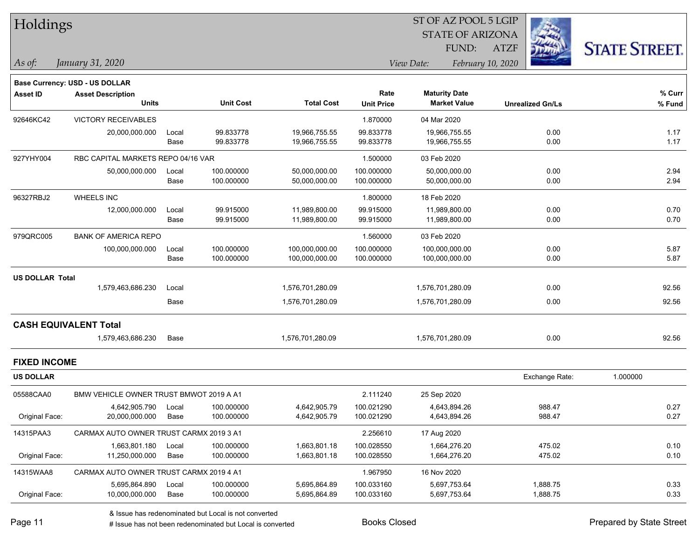| Holdings               |                                         |       |                  |                   |                   |                         |                         |                      |
|------------------------|-----------------------------------------|-------|------------------|-------------------|-------------------|-------------------------|-------------------------|----------------------|
|                        |                                         |       |                  |                   |                   | <b>STATE OF ARIZONA</b> |                         |                      |
|                        |                                         |       |                  |                   |                   | FUND:                   | <b>ATZF</b>             | <b>STATE STREET.</b> |
| As of:                 | January 31, 2020                        |       |                  |                   |                   | View Date:              | February 10, 2020       |                      |
|                        | Base Currency: USD - US DOLLAR          |       |                  |                   |                   |                         |                         |                      |
| <b>Asset ID</b>        | <b>Asset Description</b>                |       |                  |                   | Rate              | <b>Maturity Date</b>    |                         | % Curr               |
|                        | <b>Units</b>                            |       | <b>Unit Cost</b> | <b>Total Cost</b> | <b>Unit Price</b> | <b>Market Value</b>     | <b>Unrealized Gn/Ls</b> | % Fund               |
| 92646KC42              | <b>VICTORY RECEIVABLES</b>              |       |                  |                   | 1.870000          | 04 Mar 2020             |                         |                      |
|                        | 20,000,000.000                          | Local | 99.833778        | 19,966,755.55     | 99.833778         | 19,966,755.55           | 0.00                    | 1.17                 |
|                        |                                         | Base  | 99.833778        | 19,966,755.55     | 99.833778         | 19,966,755.55           | 0.00                    | 1.17                 |
| 927YHY004              | RBC CAPITAL MARKETS REPO 04/16 VAR      |       |                  |                   | 1.500000          | 03 Feb 2020             |                         |                      |
|                        | 50,000,000.000                          | Local | 100.000000       | 50,000,000.00     | 100.000000        | 50,000,000.00           | 0.00                    | 2.94                 |
|                        |                                         | Base  | 100.000000       | 50,000,000.00     | 100.000000        | 50,000,000.00           | 0.00                    | 2.94                 |
| 96327RBJ2              | <b>WHEELS INC</b>                       |       |                  |                   | 1.800000          | 18 Feb 2020             |                         |                      |
|                        | 12,000,000.000                          | Local | 99.915000        | 11,989,800.00     | 99.915000         | 11,989,800.00           | 0.00                    | 0.70                 |
|                        |                                         | Base  | 99.915000        | 11,989,800.00     | 99.915000         | 11,989,800.00           | 0.00                    | 0.70                 |
| 979QRC005              | <b>BANK OF AMERICA REPO</b>             |       |                  |                   | 1.560000          | 03 Feb 2020             |                         |                      |
|                        | 100,000,000.000                         | Local | 100.000000       | 100,000,000.00    | 100.000000        | 100,000,000.00          | 0.00                    | 5.87                 |
|                        |                                         | Base  | 100.000000       | 100,000,000.00    | 100.000000        | 100,000,000.00          | 0.00                    | 5.87                 |
| <b>US DOLLAR Total</b> |                                         |       |                  |                   |                   |                         |                         |                      |
|                        | 1,579,463,686.230                       | Local |                  | 1,576,701,280.09  |                   | 1,576,701,280.09        | 0.00                    | 92.56                |
|                        |                                         | Base  |                  | 1,576,701,280.09  |                   | 1,576,701,280.09        | 0.00                    | 92.56                |
|                        | <b>CASH EQUIVALENT Total</b>            |       |                  |                   |                   |                         |                         |                      |
|                        | 1,579,463,686.230                       | Base  |                  | 1,576,701,280.09  |                   | 1,576,701,280.09        | 0.00                    | 92.56                |
| <b>FIXED INCOME</b>    |                                         |       |                  |                   |                   |                         |                         |                      |
| <b>US DOLLAR</b>       |                                         |       |                  |                   |                   |                         | Exchange Rate:          | 1.000000             |
| 05588CAA0              | BMW VEHICLE OWNER TRUST BMWOT 2019 A A1 |       |                  |                   | 2.111240          | 25 Sep 2020             |                         |                      |
|                        | 4,642,905.790                           | Local | 100.000000       | 4,642,905.79      | 100.021290        | 4,643,894.26            | 988.47                  | 0.27                 |
| Original Face:         | 20,000,000.000                          | Base  | 100.000000       | 4,642,905.79      | 100.021290        | 4,643,894.26            | 988.47                  | 0.27                 |
| 14315PAA3              | CARMAX AUTO OWNER TRUST CARMX 2019 3 A1 |       |                  |                   | 2.256610          | 17 Aug 2020             |                         |                      |
|                        | 1,663,801.180                           | Local | 100.000000       | 1,663,801.18      | 100.028550        | 1,664,276.20            | 475.02                  | 0.10                 |
| Original Face:         | 11,250,000.000                          | Base  | 100.000000       | 1,663,801.18      | 100.028550        | 1,664,276.20            | 475.02                  | 0.10                 |
| 14315WAA8              | CARMAX AUTO OWNER TRUST CARMX 2019 4 A1 |       |                  |                   | 1.967950          | 16 Nov 2020             |                         |                      |
|                        | 5,695,864.890                           | Local | 100.000000       | 5,695,864.89      | 100.033160        | 5,697,753.64            | 1,888.75                | 0.33                 |
| Original Face:         | 10,000,000.000                          | Base  | 100.000000       | 5,695,864.89      | 100.033160        | 5,697,753.64            | 1,888.75                | 0.33                 |
|                        |                                         |       |                  |                   |                   |                         |                         |                      |

denote the redenominated but Local is converted Books Closed Prepared by State Street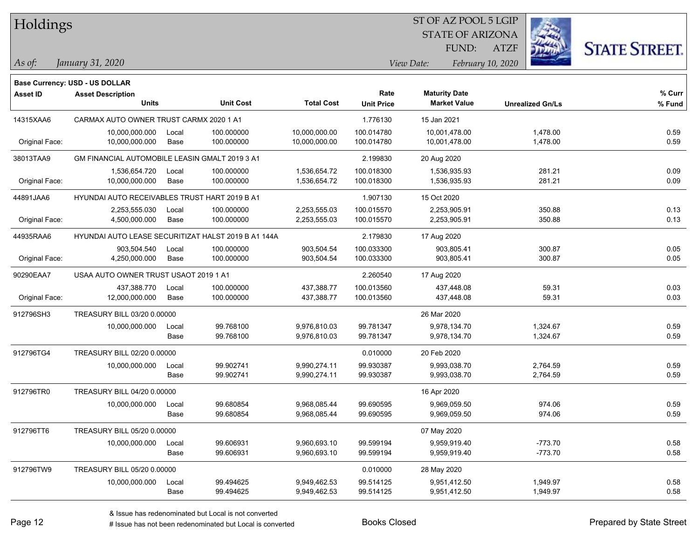| Holdings        |                                                     |               |                          |                                |                           | ST OF AZ POOL 5 LGIP                        |                   |                         |                      |
|-----------------|-----------------------------------------------------|---------------|--------------------------|--------------------------------|---------------------------|---------------------------------------------|-------------------|-------------------------|----------------------|
|                 |                                                     |               |                          |                                |                           | <b>STATE OF ARIZONA</b>                     |                   |                         |                      |
|                 |                                                     |               |                          |                                |                           | FUND:                                       | <b>ATZF</b>       |                         | <b>STATE STREET.</b> |
| $\vert$ As of:  | January 31, 2020                                    |               |                          |                                |                           | View Date:                                  | February 10, 2020 |                         |                      |
|                 |                                                     |               |                          |                                |                           |                                             |                   |                         |                      |
|                 | <b>Base Currency: USD - US DOLLAR</b>               |               |                          |                                |                           |                                             |                   |                         |                      |
| <b>Asset ID</b> | <b>Asset Description</b><br><b>Units</b>            |               | <b>Unit Cost</b>         | <b>Total Cost</b>              | Rate<br><b>Unit Price</b> | <b>Maturity Date</b><br><b>Market Value</b> |                   | <b>Unrealized Gn/Ls</b> | % Curr<br>% Fund     |
|                 |                                                     |               |                          |                                |                           |                                             |                   |                         |                      |
| 14315XAA6       | CARMAX AUTO OWNER TRUST CARMX 2020 1 A1             |               |                          |                                | 1.776130                  | 15 Jan 2021                                 |                   |                         |                      |
| Original Face:  | 10,000,000.000<br>10,000,000.000                    | Local<br>Base | 100.000000<br>100.000000 | 10,000,000.00<br>10,000,000.00 | 100.014780<br>100.014780  | 10,001,478.00<br>10,001,478.00              |                   | 1,478.00<br>1,478.00    | 0.59<br>0.59         |
|                 |                                                     |               |                          |                                |                           |                                             |                   |                         |                      |
| 38013TAA9       | GM FINANCIAL AUTOMOBILE LEASIN GMALT 2019 3 A1      |               |                          |                                | 2.199830                  | 20 Aug 2020                                 |                   |                         |                      |
| Original Face:  | 1,536,654.720<br>10,000,000.000                     | Local<br>Base | 100.000000<br>100.000000 | 1,536,654.72<br>1,536,654.72   | 100.018300<br>100.018300  | 1,536,935.93<br>1,536,935.93                |                   | 281.21<br>281.21        | 0.09<br>0.09         |
|                 |                                                     |               |                          |                                |                           |                                             |                   |                         |                      |
| 44891JAA6       | HYUNDAI AUTO RECEIVABLES TRUST HART 2019 B A1       |               |                          |                                | 1.907130                  | 15 Oct 2020                                 |                   |                         |                      |
| Original Face:  | 2,253,555.030<br>4,500,000.000                      | Local<br>Base | 100.000000<br>100.000000 | 2,253,555.03<br>2,253,555.03   | 100.015570<br>100.015570  | 2,253,905.91<br>2,253,905.91                |                   | 350.88<br>350.88        | 0.13<br>0.13         |
|                 |                                                     |               |                          |                                |                           |                                             |                   |                         |                      |
| 44935RAA6       | HYUNDAI AUTO LEASE SECURITIZAT HALST 2019 B A1 144A |               |                          |                                | 2.179830                  | 17 Aug 2020                                 |                   |                         |                      |
| Original Face:  | 903.504.540<br>4,250,000.000                        | Local         | 100.000000<br>100.000000 | 903,504.54<br>903,504.54       | 100.033300<br>100.033300  | 903,805.41<br>903,805.41                    |                   | 300.87<br>300.87        | 0.05<br>0.05         |
|                 |                                                     | Base          |                          |                                |                           |                                             |                   |                         |                      |
| 90290EAA7       | USAA AUTO OWNER TRUST USAOT 2019 1 A1               |               |                          |                                | 2.260540                  | 17 Aug 2020                                 |                   |                         |                      |
|                 | 437,388.770                                         | Local         | 100.000000               | 437,388.77                     | 100.013560                | 437,448.08                                  |                   | 59.31                   | 0.03                 |
| Original Face:  | 12,000,000.000                                      | Base          | 100.000000               | 437,388.77                     | 100.013560                | 437,448.08                                  |                   | 59.31                   | 0.03                 |
| 912796SH3       | TREASURY BILL 03/20 0.00000                         |               |                          |                                |                           | 26 Mar 2020                                 |                   |                         |                      |
|                 | 10,000,000.000                                      | Local         | 99.768100                | 9,976,810.03                   | 99.781347                 | 9,978,134.70                                |                   | 1,324.67                | 0.59                 |
|                 |                                                     | Base          | 99.768100                | 9,976,810.03                   | 99.781347                 | 9,978,134.70                                |                   | 1,324.67                | 0.59                 |
| 912796TG4       | TREASURY BILL 02/20 0.00000                         |               |                          |                                | 0.010000                  | 20 Feb 2020                                 |                   |                         |                      |
|                 | 10,000,000.000                                      | Local         | 99.902741                | 9,990,274.11                   | 99.930387                 | 9,993,038.70                                |                   | 2,764.59                | 0.59                 |
|                 |                                                     | Base          | 99.902741                | 9,990,274.11                   | 99.930387                 | 9,993,038.70                                |                   | 2,764.59                | 0.59                 |
| 912796TR0       | TREASURY BILL 04/20 0.00000                         |               |                          |                                |                           | 16 Apr 2020                                 |                   |                         |                      |
|                 | 10,000,000.000                                      | Local         | 99.680854                | 9,968,085.44                   | 99.690595                 | 9,969,059.50                                |                   | 974.06                  | 0.59                 |
|                 |                                                     | Base          | 99.680854                | 9,968,085.44                   | 99.690595                 | 9,969,059.50                                |                   | 974.06                  | 0.59                 |
| 912796TT6       | TREASURY BILL 05/20 0.00000                         |               |                          |                                |                           | 07 May 2020                                 |                   |                         |                      |
|                 | 10,000,000.000                                      | Local         | 99.606931                | 9,960,693.10                   | 99.599194                 | 9,959,919.40                                |                   | $-773.70$               | 0.58                 |
|                 |                                                     | Base          | 99.606931                | 9,960,693.10                   | 99.599194                 | 9,959,919.40                                |                   | $-773.70$               | 0.58                 |
| 912796TW9       | TREASURY BILL 05/20 0.00000                         |               |                          |                                | 0.010000                  | 28 May 2020                                 |                   |                         |                      |
|                 | 10,000,000.000                                      | Local         | 99.494625                | 9,949,462.53                   | 99.514125                 | 9,951,412.50                                |                   | 1,949.97                | 0.58                 |
|                 |                                                     | Base          | 99.494625                | 9,949,462.53                   | 99.514125                 | 9,951,412.50                                |                   | 1,949.97                | 0.58                 |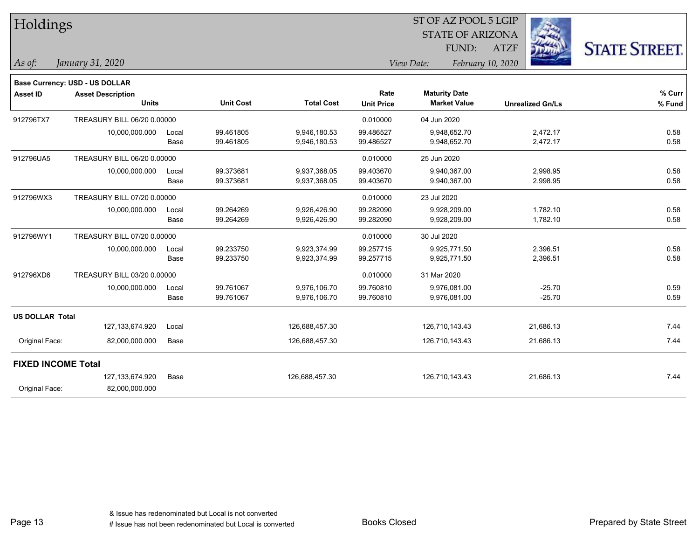| <b>Holdings</b>           |                                |       |                  |                   |                   | 51 OF AZ POOL 5 LGIP            |                         |                      |
|---------------------------|--------------------------------|-------|------------------|-------------------|-------------------|---------------------------------|-------------------------|----------------------|
|                           |                                |       |                  |                   |                   | <b>STATE OF ARIZONA</b>         |                         |                      |
|                           |                                |       |                  |                   |                   | FUND:                           | <b>ATZF</b>             | <b>STATE STREET.</b> |
| As of:                    | January 31, 2020               |       |                  |                   |                   | February 10, 2020<br>View Date: |                         |                      |
|                           | Base Currency: USD - US DOLLAR |       |                  |                   |                   |                                 |                         |                      |
| <b>Asset ID</b>           | <b>Asset Description</b>       |       |                  |                   | Rate              | <b>Maturity Date</b>            |                         | % Curr               |
|                           | <b>Units</b>                   |       | <b>Unit Cost</b> | <b>Total Cost</b> | <b>Unit Price</b> | <b>Market Value</b>             | <b>Unrealized Gn/Ls</b> | % Fund               |
| 912796TX7                 | TREASURY BILL 06/20 0.00000    |       |                  |                   | 0.010000          | 04 Jun 2020                     |                         |                      |
|                           | 10,000,000.000                 | Local | 99.461805        | 9,946,180.53      | 99.486527         | 9,948,652.70                    | 2,472.17                | 0.58                 |
|                           |                                | Base  | 99.461805        | 9,946,180.53      | 99.486527         | 9,948,652.70                    | 2,472.17                | 0.58                 |
| 912796UA5                 | TREASURY BILL 06/20 0.00000    |       |                  |                   | 0.010000          | 25 Jun 2020                     |                         |                      |
|                           | 10,000,000.000                 | Local | 99.373681        | 9,937,368.05      | 99.403670         | 9,940,367.00                    | 2,998.95                | 0.58                 |
|                           |                                | Base  | 99.373681        | 9,937,368.05      | 99.403670         | 9,940,367.00                    | 2,998.95                | 0.58                 |
| 912796WX3                 | TREASURY BILL 07/20 0.00000    |       |                  |                   | 0.010000          | 23 Jul 2020                     |                         |                      |
|                           | 10,000,000.000                 | Local | 99.264269        | 9,926,426.90      | 99.282090         | 9,928,209.00                    | 1,782.10                | 0.58                 |
|                           |                                | Base  | 99.264269        | 9,926,426.90      | 99.282090         | 9,928,209.00                    | 1,782.10                | 0.58                 |
| 912796WY1                 | TREASURY BILL 07/20 0.00000    |       |                  |                   | 0.010000          | 30 Jul 2020                     |                         |                      |
|                           | 10,000,000.000                 | Local | 99.233750        | 9,923,374.99      | 99.257715         | 9,925,771.50                    | 2,396.51                | 0.58                 |
|                           |                                | Base  | 99.233750        | 9,923,374.99      | 99.257715         | 9,925,771.50                    | 2,396.51                | 0.58                 |
| 912796XD6                 | TREASURY BILL 03/20 0.00000    |       |                  |                   | 0.010000          | 31 Mar 2020                     |                         |                      |
|                           | 10,000,000.000                 | Local | 99.761067        | 9,976,106.70      | 99.760810         | 9,976,081.00                    | $-25.70$                | 0.59                 |
|                           |                                | Base  | 99.761067        | 9,976,106.70      | 99.760810         | 9,976,081.00                    | $-25.70$                | 0.59                 |
| <b>US DOLLAR Total</b>    |                                |       |                  |                   |                   |                                 |                         |                      |
|                           | 127, 133, 674. 920             | Local |                  | 126,688,457.30    |                   | 126,710,143.43                  | 21,686.13               | 7.44                 |
| Original Face:            | 82,000,000.000                 | Base  |                  | 126,688,457.30    |                   | 126,710,143.43                  | 21,686.13               | 7.44                 |
| <b>FIXED INCOME Total</b> |                                |       |                  |                   |                   |                                 |                         |                      |
|                           | 127, 133, 674. 920             | Base  |                  | 126,688,457.30    |                   | 126,710,143.43                  | 21,686.13               | 7.44                 |
| Original Face:            | 82,000,000.000                 |       |                  |                   |                   |                                 |                         |                      |
|                           |                                |       |                  |                   |                   |                                 |                         |                      |

 $ST$  OF AZ POOL 5 LGIP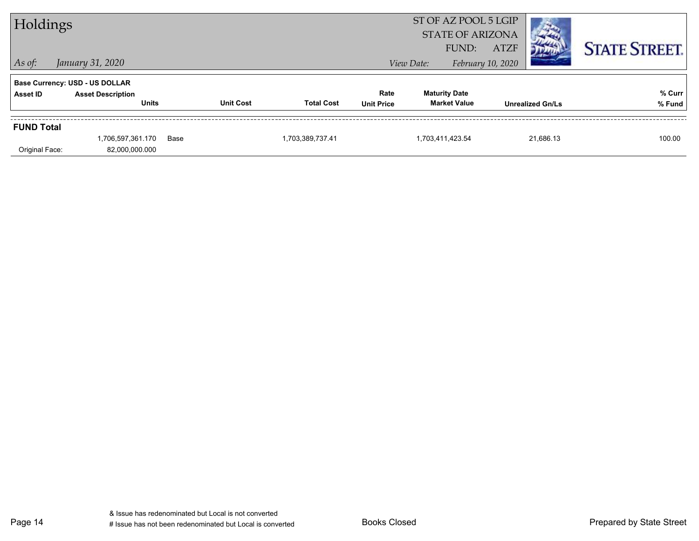| Holdings          |                                          |      |                  |                   |                           |                      | ST OF AZ POOL 5 LGIP<br><b>STATE OF ARIZONA</b> |             |                         |                      |
|-------------------|------------------------------------------|------|------------------|-------------------|---------------------------|----------------------|-------------------------------------------------|-------------|-------------------------|----------------------|
| $\vert$ As of:    | January 31, 2020                         |      |                  |                   |                           | View Date:           | FUND:<br>February 10, 2020                      | <b>ATZF</b> |                         | <b>STATE STREET.</b> |
|                   | <b>Base Currency: USD - US DOLLAR</b>    |      |                  |                   |                           |                      |                                                 |             |                         |                      |
| Asset ID          | <b>Asset Description</b><br><b>Units</b> |      | <b>Unit Cost</b> | <b>Total Cost</b> | Rate<br><b>Unit Price</b> | <b>Maturity Date</b> | <b>Market Value</b>                             |             | <b>Unrealized Gn/Ls</b> | % Curr<br>% Fund     |
| <b>FUND Total</b> |                                          |      |                  |                   |                           |                      |                                                 |             |                         |                      |
| Original Face:    | 1,706,597,361.170<br>82,000,000.000      | Base |                  | 1,703,389,737.41  |                           | 1,703,411,423.54     |                                                 |             | 21.686.13               | 100.00               |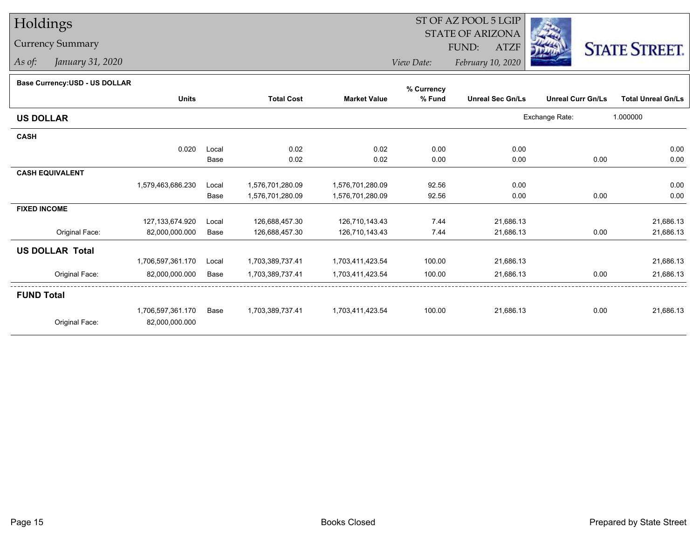## Holdings

## Currency Summary

*As of: January 31, 2020*

## ST OF AZ POOL 5 LGIP STATE OF ARIZONAATZF FUND:



*View Date:February 10, 2020*

## **Base Currency:USD - US DOLLAR**

|                        |                    |       |                   |                     | % Currency |                         |                          |                           |
|------------------------|--------------------|-------|-------------------|---------------------|------------|-------------------------|--------------------------|---------------------------|
|                        | <b>Units</b>       |       | <b>Total Cost</b> | <b>Market Value</b> | % Fund     | <b>Unreal Sec Gn/Ls</b> | <b>Unreal Curr Gn/Ls</b> | <b>Total Unreal Gn/Ls</b> |
| <b>US DOLLAR</b>       |                    |       |                   |                     |            |                         | Exchange Rate:           | 1.000000                  |
| <b>CASH</b>            |                    |       |                   |                     |            |                         |                          |                           |
|                        | 0.020              | Local | 0.02              | 0.02                | 0.00       | 0.00                    |                          | 0.00                      |
|                        |                    | Base  | 0.02              | 0.02                | 0.00       | 0.00                    | 0.00                     | 0.00                      |
| <b>CASH EQUIVALENT</b> |                    |       |                   |                     |            |                         |                          |                           |
|                        | 1,579,463,686.230  | Local | 1,576,701,280.09  | 1,576,701,280.09    | 92.56      | 0.00                    |                          | 0.00                      |
|                        |                    | Base  | 1,576,701,280.09  | 1,576,701,280.09    | 92.56      | 0.00                    | 0.00                     | 0.00                      |
| <b>FIXED INCOME</b>    |                    |       |                   |                     |            |                         |                          |                           |
|                        | 127, 133, 674. 920 | Local | 126,688,457.30    | 126,710,143.43      | 7.44       | 21,686.13               |                          | 21,686.13                 |
| Original Face:         | 82,000,000.000     | Base  | 126,688,457.30    | 126,710,143.43      | 7.44       | 21,686.13               | 0.00                     | 21,686.13                 |
| <b>US DOLLAR Total</b> |                    |       |                   |                     |            |                         |                          |                           |
|                        | 1,706,597,361.170  | Local | 1,703,389,737.41  | 1,703,411,423.54    | 100.00     | 21,686.13               |                          | 21,686.13                 |
| Original Face:         | 82,000,000.000     | Base  | 1,703,389,737.41  | 1,703,411,423.54    | 100.00     | 21,686.13               | 0.00                     | 21,686.13                 |
| <b>FUND Total</b>      |                    |       |                   |                     |            |                         |                          |                           |
|                        | 1,706,597,361.170  | Base  | 1,703,389,737.41  | 1,703,411,423.54    | 100.00     | 21,686.13               | 0.00                     | 21,686.13                 |
| Original Face:         | 82,000,000.000     |       |                   |                     |            |                         |                          |                           |
|                        |                    |       |                   |                     |            |                         |                          |                           |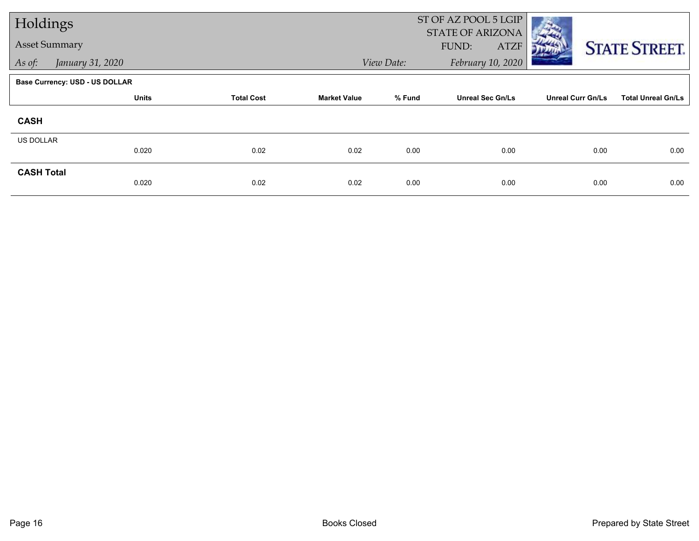| Holdings             |                                       |                   |                     |            | ST OF AZ POOL 5 LGIP<br>STATE OF ARIZONA |                          |                           |
|----------------------|---------------------------------------|-------------------|---------------------|------------|------------------------------------------|--------------------------|---------------------------|
| <b>Asset Summary</b> |                                       |                   |                     |            | FUND:<br><b>ATZF</b>                     |                          | <b>STATE STREET.</b>      |
| As of:               | January 31, 2020                      |                   |                     | View Date: | February 10, 2020                        |                          |                           |
|                      | <b>Base Currency: USD - US DOLLAR</b> |                   |                     |            |                                          |                          |                           |
|                      | <b>Units</b>                          | <b>Total Cost</b> | <b>Market Value</b> | % Fund     | <b>Unreal Sec Gn/Ls</b>                  | <b>Unreal Curr Gn/Ls</b> | <b>Total Unreal Gn/Ls</b> |
| <b>CASH</b>          |                                       |                   |                     |            |                                          |                          |                           |
| US DOLLAR            | 0.020                                 | 0.02              | 0.02                | 0.00       | 0.00                                     | 0.00                     | 0.00                      |
| <b>CASH Total</b>    | 0.020                                 | 0.02              | 0.02                | 0.00       | 0.00                                     | 0.00                     | 0.00                      |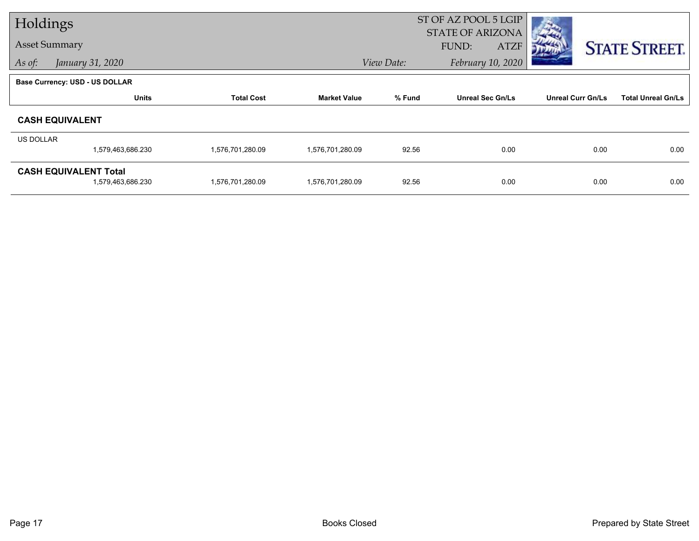| Holdings         |                                                   |                   |                     |            | ST OF AZ POOL 5 LGIP<br><b>STATE OF ARIZONA</b> |                          |                           |
|------------------|---------------------------------------------------|-------------------|---------------------|------------|-------------------------------------------------|--------------------------|---------------------------|
|                  | <b>Asset Summary</b>                              |                   |                     |            | <b>ATZF</b><br><b>FUND:</b>                     |                          | <b>STATE STREET.</b>      |
| As of:           | January 31, 2020                                  |                   |                     | View Date: | February 10, 2020                               |                          |                           |
|                  | <b>Base Currency: USD - US DOLLAR</b>             |                   |                     |            |                                                 |                          |                           |
|                  | <b>Units</b>                                      | <b>Total Cost</b> | <b>Market Value</b> | % Fund     | <b>Unreal Sec Gn/Ls</b>                         | <b>Unreal Curr Gn/Ls</b> | <b>Total Unreal Gn/Ls</b> |
|                  | <b>CASH EQUIVALENT</b>                            |                   |                     |            |                                                 |                          |                           |
| <b>US DOLLAR</b> |                                                   |                   |                     |            |                                                 |                          |                           |
|                  | 1,579,463,686.230                                 | 1,576,701,280.09  | 1,576,701,280.09    | 92.56      | 0.00                                            | 0.00                     | 0.00                      |
|                  | <b>CASH EQUIVALENT Total</b><br>1,579,463,686.230 | 1,576,701,280.09  | 1,576,701,280.09    | 92.56      | 0.00                                            | 0.00                     | 0.00                      |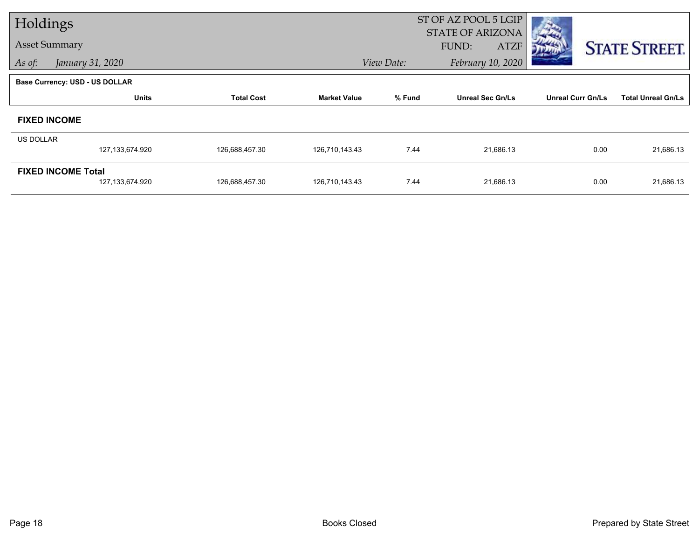| Holdings             |                                |                   |                     |            | ST OF AZ POOL 5 LGIP    |                          |                           |
|----------------------|--------------------------------|-------------------|---------------------|------------|-------------------------|--------------------------|---------------------------|
| <b>Asset Summary</b> |                                |                   |                     |            | <b>STATE OF ARIZONA</b> |                          |                           |
|                      |                                |                   |                     |            | FUND:<br><b>ATZF</b>    |                          | <b>STATE STREET.</b>      |
| As of:               | January 31, 2020               |                   |                     | View Date: | February 10, 2020       |                          |                           |
|                      | Base Currency: USD - US DOLLAR |                   |                     |            |                         |                          |                           |
|                      | <b>Units</b>                   | <b>Total Cost</b> | <b>Market Value</b> | % Fund     | <b>Unreal Sec Gn/Ls</b> | <b>Unreal Curr Gn/Ls</b> | <b>Total Unreal Gn/Ls</b> |
| <b>FIXED INCOME</b>  |                                |                   |                     |            |                         |                          |                           |
| US DOLLAR            |                                |                   |                     |            |                         |                          |                           |
|                      | 127,133,674.920                | 126,688,457.30    | 126,710,143.43      | 7.44       | 21,686.13               | 0.00                     | 21,686.13                 |
|                      | <b>FIXED INCOME Total</b>      |                   |                     |            |                         |                          |                           |
|                      | 127, 133, 674. 920             | 126,688,457.30    | 126,710,143.43      | 7.44       | 21,686.13               | 0.00                     | 21,686.13                 |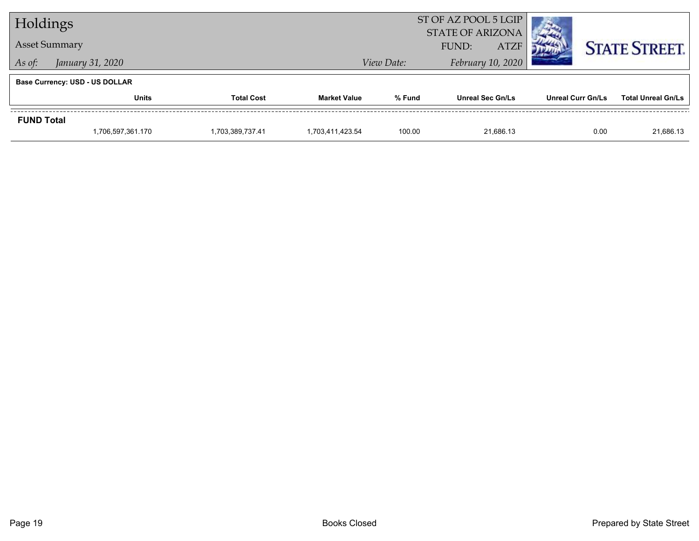| Holdings             |                                       |                   | ST OF AZ POOL 5 LGIP<br><b>STATE OF ARIZONA</b> |                                 |                         |                          |                           |
|----------------------|---------------------------------------|-------------------|-------------------------------------------------|---------------------------------|-------------------------|--------------------------|---------------------------|
| <b>Asset Summary</b> |                                       |                   |                                                 |                                 | FUND:<br><b>ATZF</b>    |                          | <b>STATE STREET.</b>      |
| As of:               | January 31, 2020                      |                   |                                                 | February 10, 2020<br>View Date: |                         |                          |                           |
|                      | <b>Base Currency: USD - US DOLLAR</b> |                   |                                                 |                                 |                         |                          |                           |
|                      | <b>Units</b>                          | <b>Total Cost</b> | <b>Market Value</b>                             | % Fund                          | <b>Unreal Sec Gn/Ls</b> | <b>Unreal Curr Gn/Ls</b> | <b>Total Unreal Gn/Ls</b> |
| <b>FUND Total</b>    |                                       |                   |                                                 |                                 |                         |                          |                           |
|                      | 1,706,597,361.170                     | 1,703,389,737.41  | 1.703.411.423.54                                | 100.00                          | 21.686.13               | 0.00                     | 21,686.13                 |